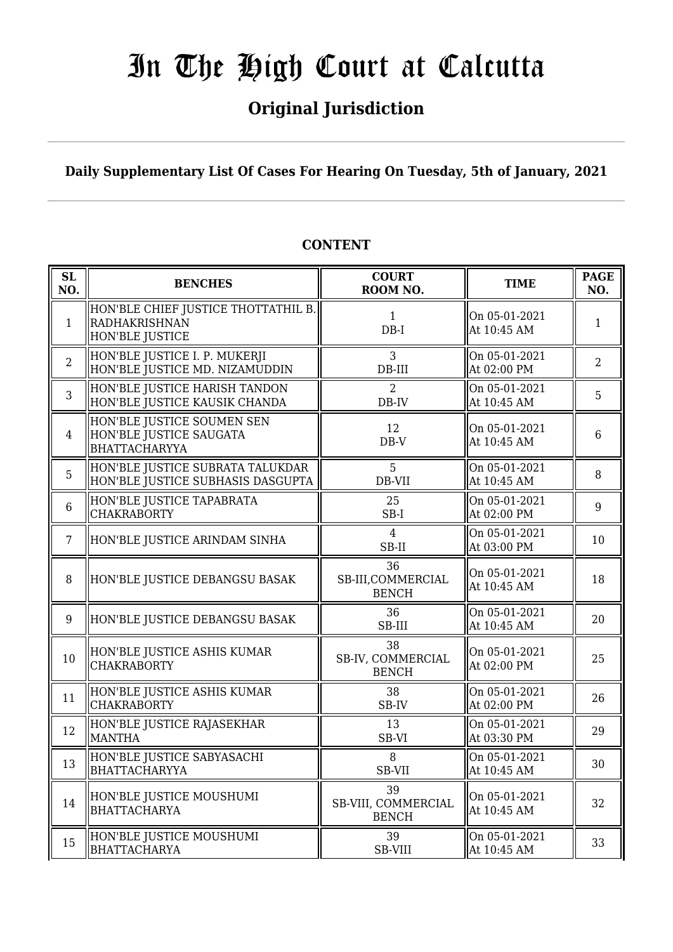## **Original Jurisdiction**

## **Daily Supplementary List Of Cases For Hearing On Tuesday, 5th of January, 2021**

#### **SL SL BENCHES COURT**<br> **NO. BENCHES COURT ROOM NO. TIME PAGE**<br>**ROOM NO. NO.** 1 HON'BLE CHIEF JUSTICE THOTTATHIL B. RADHAKRISHNAN HON'BLE JUSTICE 1 DB-I On 05-01-2021 At 10:45 AM  $1$ 2 HON'BLE JUSTICE I. P. MUKERJI HON'BLE JUSTICE MD. NIZAMUDDIN 3 DB-III On 05-01-2021  $\begin{array}{|c|c|c|c|c|} \hline \text{Out 03-01-2021} & & 2 \\ \hline \text{At 02:00 PM} & & 2 \end{array}$ 3 HON'BLE JUSTICE HARISH TANDON HON'BLE JUSTICE KAUSIK CHANDA  $\overline{2}$ DB-IV On 05-01-2021  $\begin{array}{|c|c|c|c|c|} \hline \text{Un 03-01-2021} & & & 5 \\ \hline \text{At 10:45 AM} & & & 5 \\ \hline \end{array}$ 4 HON'BLE JUSTICE SOUMEN SEN HON'BLE JUSTICE SAUGATA BHATTACHARYYA 12 DB-V On 05-01-2021 At 10:45 AM <sup>6</sup> 5 HON'BLE JUSTICE SUBRATA TALUKDAR HON'BLE JUSTICE SUBHASIS DASGUPTA 5 DB-VII On 05-01-2021 At 10:45 AM  $\begin{array}{|c|c|} \hline 8 \end{array}$ 6 HON'BLE JUSTICE TAPABRATA CHAKRABORTY 25 SB-I On 05-01-2021  $\left[\begin{array}{ccc} \n\text{OH } 03 - 01 - 2021 \\
\text{At } 02:00 \text{ PM} \n\end{array}\right] \left[\begin{array}{c} 9 \end{array}\right]$ 7 HON'BLE JUSTICE ARINDAM SINHA  $\parallel$  4 SB-II On 05-01-2021  $\begin{array}{|c|c|c|c|c|c|} \hline \text{At 03:00 PM} & & 10 \ \hline \end{array}$ 8 HON'BLE JUSTICE DEBANGSU BASAK 36 SB-III,COMMERCIAL BENCH On 05-01-2021  $\begin{array}{|c|c|c|c|c|} \hline \text{At 10:45 AM} & & 18 \end{array}$ 9 HON'BLE JUSTICE DEBANGSU BASAK 36 SB-III On 05-01-2021  $\begin{array}{|c|c|c|c|c|c|c|} \hline \text{Out 0.45 AM} & & 20 \ \hline \end{array}$  $10$  HON'BLE JUSTICE ASHIS KUMAR CHAKRABORTY 38 SB-IV, COMMERCIAL BENCH On 05-01-2021  $\begin{array}{|c|c|c|c|c|c|} \hline \text{Out 03-01-2021} & & 25 \\ \text{At 02:00 PM} & & 25 \end{array}$ 11 HON'BLE JUSTICE ASHIS KUMAR CHAKRABORTY 38 SB-IV On 05-01-2021  $\begin{array}{|c|c|c|c|c|} \hline \text{Out 02:00 PM} & & 26 \ \hline \end{array}$ 12 HON'BLE JUSTICE RAJASEKHAR MANTHA 13 SB-VI On 05-01-2021  $\begin{array}{|c|c|c|c|c|c|} \hline \text{Out 03:30 PM} & & 29 \hline \end{array}$ 13 HON'BLE JUSTICE SABYASACHI BHATTACHARYYA 8 SB-VII On 05-01-2021  $\begin{array}{|c|c|c|c|c|} \hline \text{At 10:45 AM} & & 30 \\ \hline \end{array}$  $\frac{14}{14}$  HON'BLE JUSTICE MOUSHUMI BHATTACHARYA 39 SB-VIII, COMMERCIAL BENCH On 05-01-2021  $\begin{array}{|c|c|c|c|c|} \hline \text{M10:45 AM} & & 32 \\ \hline \end{array}$ 15 HON'BLE JUSTICE MOUSHUMI **BHATTACHARYA** 39 SB-VIII On 05-01-2021  $\left[\begin{array}{ccc} \n\text{OH 03-01-2021} \\ \n\text{At 10:45 AM} \n\end{array}\right]$  33

## **CONTENT**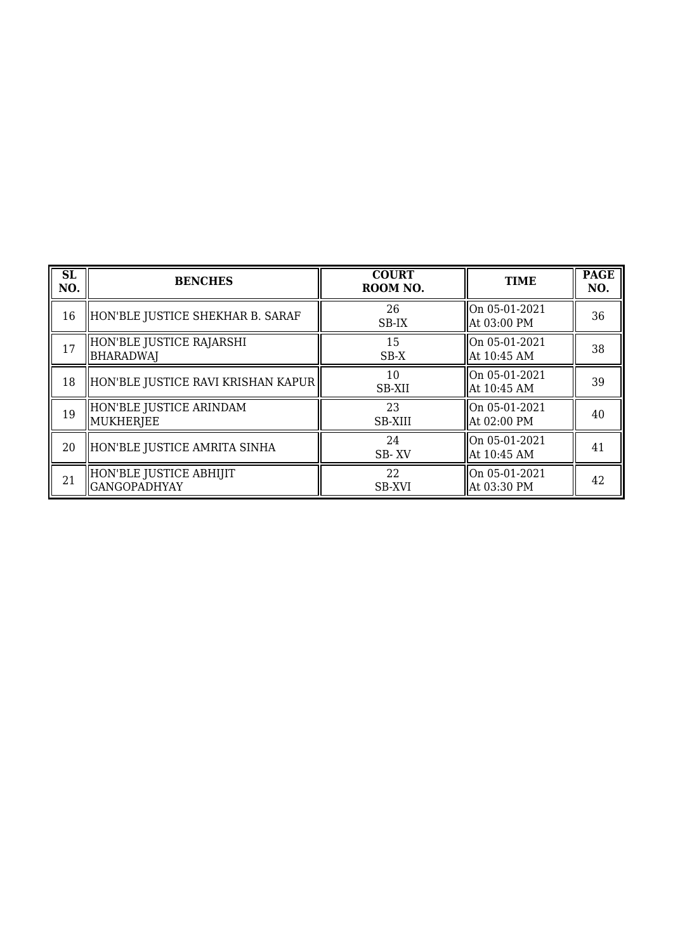| <b>SL</b><br>NO. | <b>BENCHES</b>                                 | <b>COURT</b><br>ROOM NO. | <b>TIME</b>                    | <b>PAGE</b><br>NO. |
|------------------|------------------------------------------------|--------------------------|--------------------------------|--------------------|
| 16               | HON'BLE JUSTICE SHEKHAR B. SARAF               | 26<br>SB-IX              | On 05-01-2021<br>At 03:00 PM   | 36                 |
| 17               | HON'BLE JUSTICE RAJARSHI<br><b>BHARADWAJ</b>   | 15<br>SB-X               | On 05-01-2021<br>At 10:45 AM   | 38                 |
| 18               | HON'BLE JUSTICE RAVI KRISHAN KAPUR             | 10<br>SB-XII             | On 05-01-2021<br>At 10:45 AM   | 39                 |
| 19               | HON'BLE JUSTICE ARINDAM<br>MUKHERJEE           | 23<br><b>SB-XIII</b>     | On 05-01-2021<br>At 02:00 PM   | 40                 |
| 20               | HON'BLE JUSTICE AMRITA SINHA                   | 24<br>SB-XV              | On 05-01-2021<br>At 10:45 AM   | 41                 |
| 21               | HON'BLE JUSTICE ABHIJIT<br><b>GANGOPADHYAY</b> | 22<br><b>SB-XVI</b>      | On 05-01-2021<br>  At 03:30 PM | 42                 |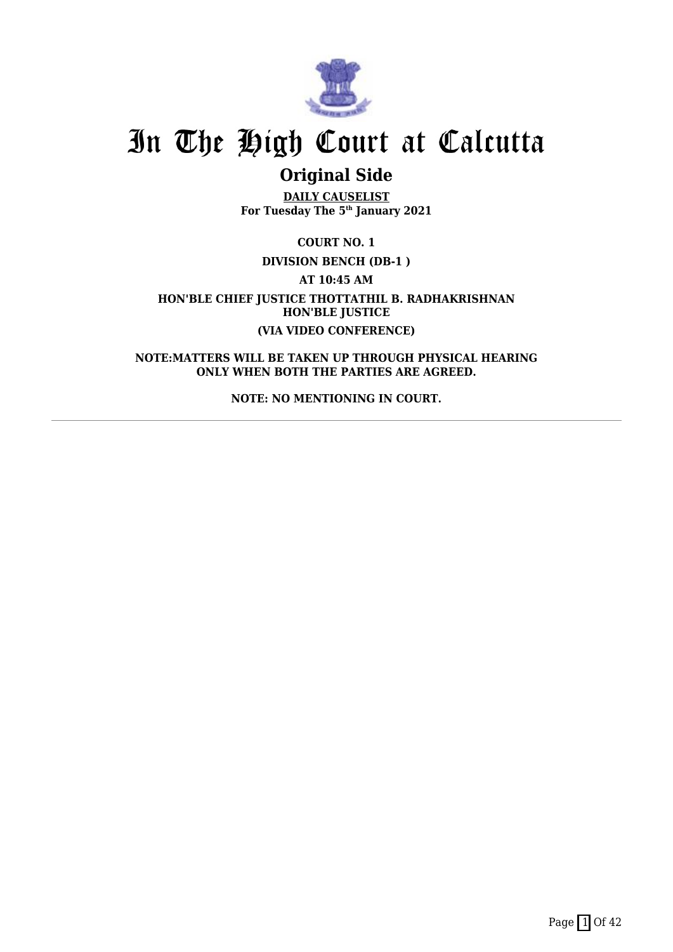

## **Original Side**

**DAILY CAUSELIST For Tuesday The 5th January 2021**

**COURT NO. 1**

**DIVISION BENCH (DB-1 )**

**AT 10:45 AM**

**HON'BLE CHIEF JUSTICE THOTTATHIL B. RADHAKRISHNAN HON'BLE JUSTICE (VIA VIDEO CONFERENCE)**

**NOTE:MATTERS WILL BE TAKEN UP THROUGH PHYSICAL HEARING ONLY WHEN BOTH THE PARTIES ARE AGREED.**

**NOTE: NO MENTIONING IN COURT.**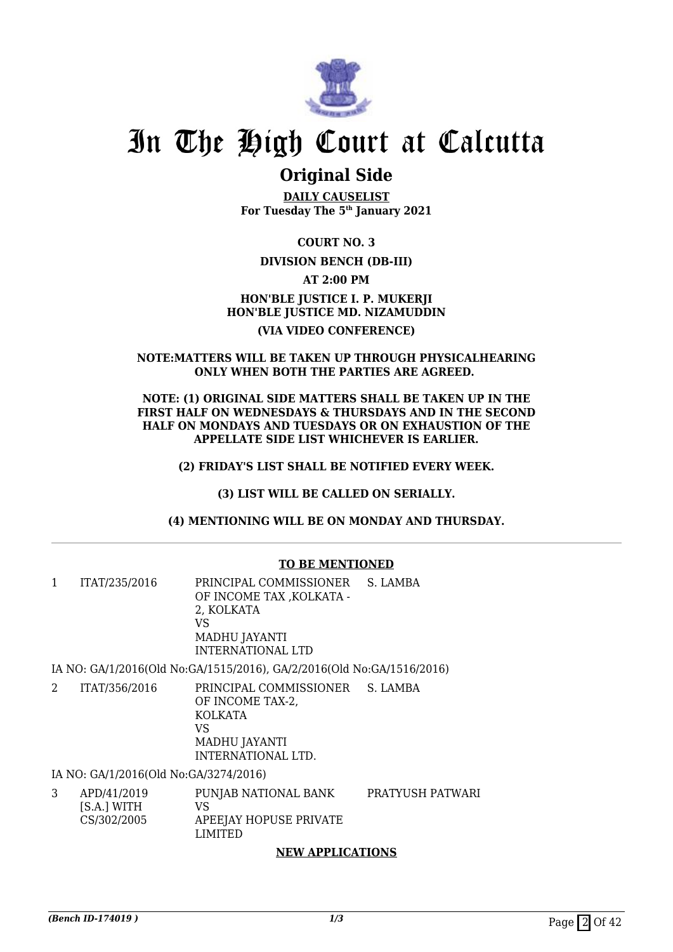

## **Original Side**

**DAILY CAUSELIST For Tuesday The 5th January 2021**

**COURT NO. 3**

## **DIVISION BENCH (DB-III)**

**AT 2:00 PM**

## **HON'BLE JUSTICE I. P. MUKERJI HON'BLE JUSTICE MD. NIZAMUDDIN (VIA VIDEO CONFERENCE)**

### **NOTE:MATTERS WILL BE TAKEN UP THROUGH PHYSICALHEARING ONLY WHEN BOTH THE PARTIES ARE AGREED.**

**NOTE: (1) ORIGINAL SIDE MATTERS SHALL BE TAKEN UP IN THE FIRST HALF ON WEDNESDAYS & THURSDAYS AND IN THE SECOND HALF ON MONDAYS AND TUESDAYS OR ON EXHAUSTION OF THE APPELLATE SIDE LIST WHICHEVER IS EARLIER.**

**(2) FRIDAY'S LIST SHALL BE NOTIFIED EVERY WEEK.**

**(3) LIST WILL BE CALLED ON SERIALLY.**

**(4) MENTIONING WILL BE ON MONDAY AND THURSDAY.**

## **TO BE MENTIONED**

| ITAT/235/2016 | PRINCIPAL COMMISSIONER S. LAMBA<br>OF INCOME TAX , KOLKATA -<br>2. KOLKATA<br>VS<br>MADHU JAYANTI<br>INTERNATIONAL LTD |  |
|---------------|------------------------------------------------------------------------------------------------------------------------|--|
|               |                                                                                                                        |  |

IA NO: GA/1/2016(Old No:GA/1515/2016), GA/2/2016(Old No:GA/1516/2016)

2 ITAT/356/2016 PRINCIPAL COMMISSIONER S. LAMBA OF INCOME TAX-2, KOLKATA VS MADHU JAYANTI INTERNATIONAL LTD.

IA NO: GA/1/2016(Old No:GA/3274/2016)

3 APD/41/2019 [S.A.] WITH CS/302/2005 PUNJAB NATIONAL BANK VS APEEJAY HOPUSE PRIVATE LIMITED PRATYUSH PATWARI

## **NEW APPLICATIONS**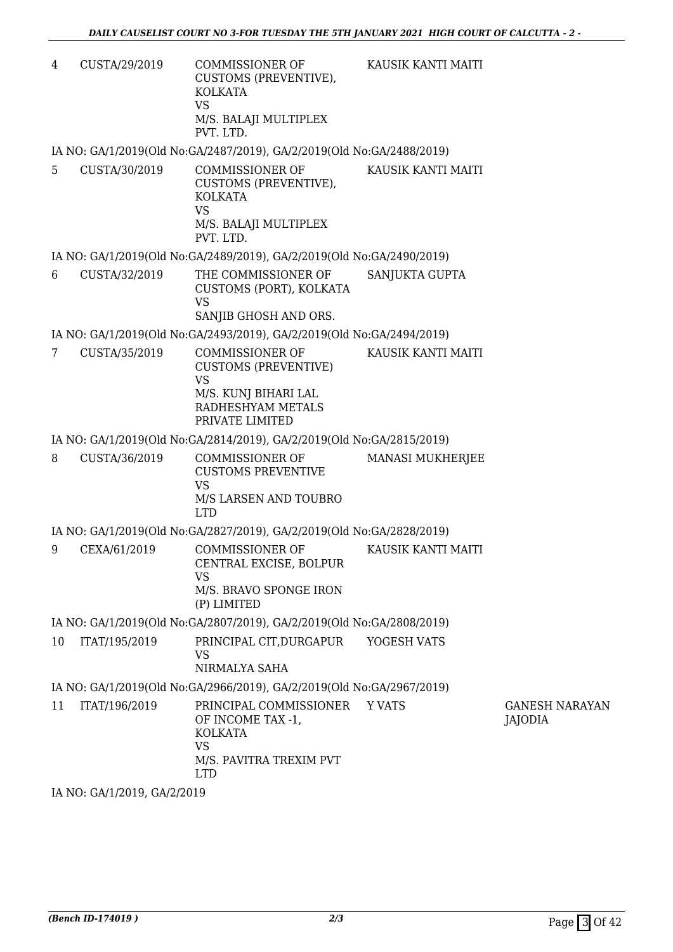4 CUSTA/29/2019 COMMISSIONER OF CUSTOMS (PREVENTIVE), KOLKATA VS M/S. BALAJI MULTIPLEX PVT. LTD. KAUSIK KANTI MAITI

IA NO: GA/1/2019(Old No:GA/2487/2019), GA/2/2019(Old No:GA/2488/2019)

5 CUSTA/30/2019 COMMISSIONER OF CUSTOMS (PREVENTIVE), KOLKATA VS M/S. BALAJI MULTIPLEX PVT. LTD. KAUSIK KANTI MAITI

IA NO: GA/1/2019(Old No:GA/2489/2019), GA/2/2019(Old No:GA/2490/2019)

6 CUSTA/32/2019 THE COMMISSIONER OF CUSTOMS (PORT), KOLKATA VS SANJIB GHOSH AND ORS. SANJUKTA GUPTA

IA NO: GA/1/2019(Old No:GA/2493/2019), GA/2/2019(Old No:GA/2494/2019)

7 CUSTA/35/2019 COMMISSIONER OF CUSTOMS (PREVENTIVE) VS M/S. KUNJ BIHARI LAL RADHESHYAM METALS PRIVATE LIMITED KAUSIK KANTI MAITI

IA NO: GA/1/2019(Old No:GA/2814/2019), GA/2/2019(Old No:GA/2815/2019)

8 CUSTA/36/2019 COMMISSIONER OF CUSTOMS PREVENTIVE VS M/S LARSEN AND TOUBRO LTD MANASI MUKHERJEE IA NO: GA/1/2019(Old No:GA/2827/2019), GA/2/2019(Old No:GA/2828/2019)

9 CEXA/61/2019 COMMISSIONER OF CENTRAL EXCISE, BOLPUR VS M/S. BRAVO SPONGE IRON (P) LIMITED KAUSIK KANTI MAITI

IA NO: GA/1/2019(Old No:GA/2807/2019), GA/2/2019(Old No:GA/2808/2019)

10 ITAT/195/2019 PRINCIPAL CIT,DURGAPUR VS NIRMALYA SAHA YOGESH VATS

IA NO: GA/1/2019(Old No:GA/2966/2019), GA/2/2019(Old No:GA/2967/2019)

11 ITAT/196/2019 PRINCIPAL COMMISSIONER OF INCOME TAX -1, KOLKATA VS M/S. PAVITRA TREXIM PVT LTD Y VATS GANESH NARAYAN JAJODIA

IA NO: GA/1/2019, GA/2/2019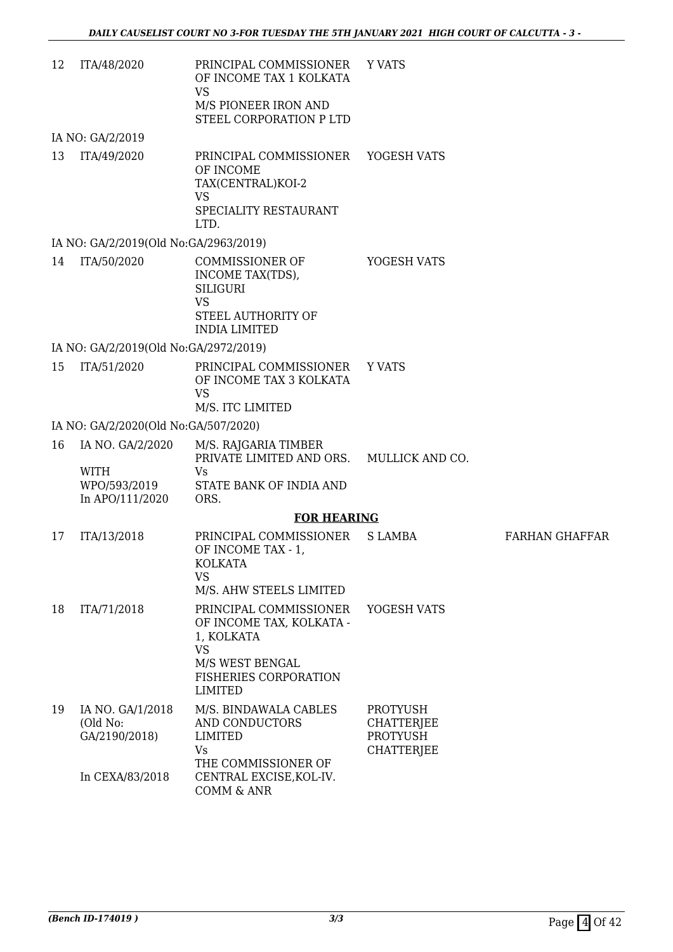12 ITA/48/2020 PRINCIPAL COMMISSIONER OF INCOME TAX 1 KOLKATA VS M/S PIONEER IRON AND STEEL CORPORATION P LTD Y VATS

IA NO: GA/2/2019

13 ITA/49/2020 PRINCIPAL COMMISSIONER OF INCOME TAX(CENTRAL)KOI-2 VS SPECIALITY RESTAURANT LTD. YOGESH VATS

## IA NO: GA/2/2019(Old No:GA/2963/2019)

14 ITA/50/2020 COMMISSIONER OF INCOME TAX(TDS), SILIGURI VS STEEL AUTHORITY OF INDIA LIMITED YOGESH VATS

IA NO: GA/2/2019(Old No:GA/2972/2019)

15 ITA/51/2020 PRINCIPAL COMMISSIONER OF INCOME TAX 3 KOLKATA VS M/S. ITC LIMITED Y VATS

### IA NO: GA/2/2020(Old No:GA/507/2020)

| 16 IA NO. GA/2/2020 | M/S. RAJGARIA TIMBER<br>PRIVATE LIMITED AND ORS. | MULLICK AND CO. |
|---------------------|--------------------------------------------------|-----------------|
| <b>WITH</b>         | V۹                                               |                 |
| WPO/593/2019        | STATE BANK OF INDIA AND                          |                 |
| In APO/111/2020     | ORS.                                             |                 |

### **FOR HEARING**

| 17 | ITA/13/2018                                   | PRINCIPAL COMMISSIONER<br>OF INCOME TAX - 1,<br>KOLKATA<br>VS.<br>M/S. AHW STEELS LIMITED                                                   | S LAMBA                                                                      | FARHAN GHAFFAR |
|----|-----------------------------------------------|---------------------------------------------------------------------------------------------------------------------------------------------|------------------------------------------------------------------------------|----------------|
| 18 | ITA/71/2018                                   | PRINCIPAL COMMISSIONER<br>OF INCOME TAX, KOLKATA -<br>1, KOLKATA<br>VS<br>M/S WEST BENGAL<br><b>FISHERIES CORPORATION</b><br><b>LIMITED</b> | YOGESH VATS                                                                  |                |
| 19 | IA NO. GA/1/2018<br>(Old No:<br>GA/2190/2018) | M/S. BINDAWALA CABLES<br>AND CONDUCTORS<br>LIMITED<br>Vs.<br>THE COMMISSIONER OF                                                            | <b>PROTYUSH</b><br><b>CHATTERJEE</b><br><b>PROTYUSH</b><br><b>CHATTERJEE</b> |                |
|    | In CEXA/83/2018                               | CENTRAL EXCISE, KOL-IV.<br>COMM & ANR                                                                                                       |                                                                              |                |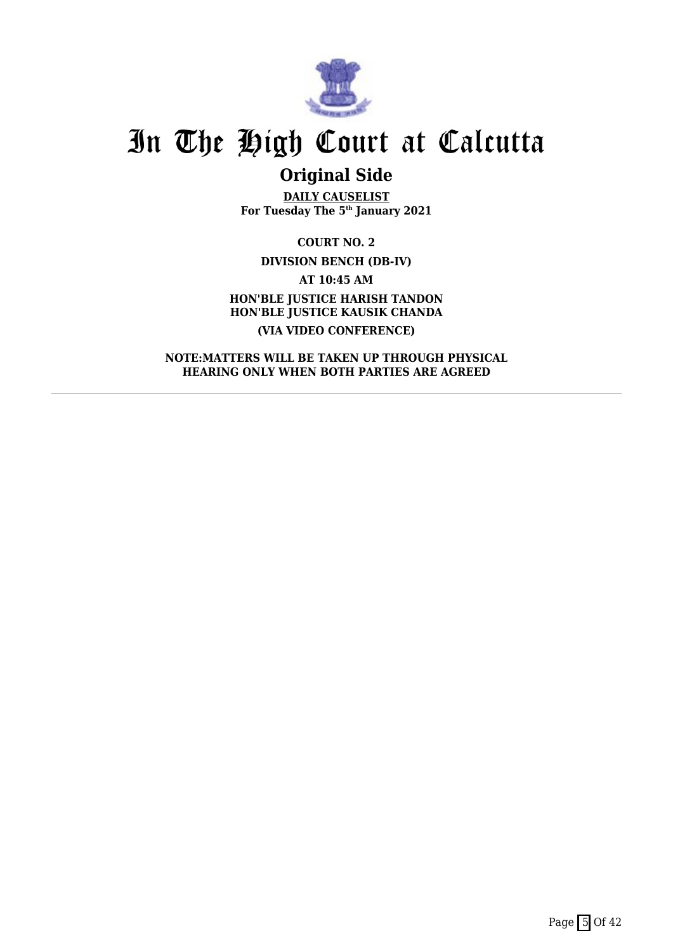

## **Original Side**

**DAILY CAUSELIST For Tuesday The 5th January 2021**

**COURT NO. 2 DIVISION BENCH (DB-IV) AT 10:45 AM HON'BLE JUSTICE HARISH TANDON HON'BLE JUSTICE KAUSIK CHANDA (VIA VIDEO CONFERENCE)**

**NOTE:MATTERS WILL BE TAKEN UP THROUGH PHYSICAL HEARING ONLY WHEN BOTH PARTIES ARE AGREED**

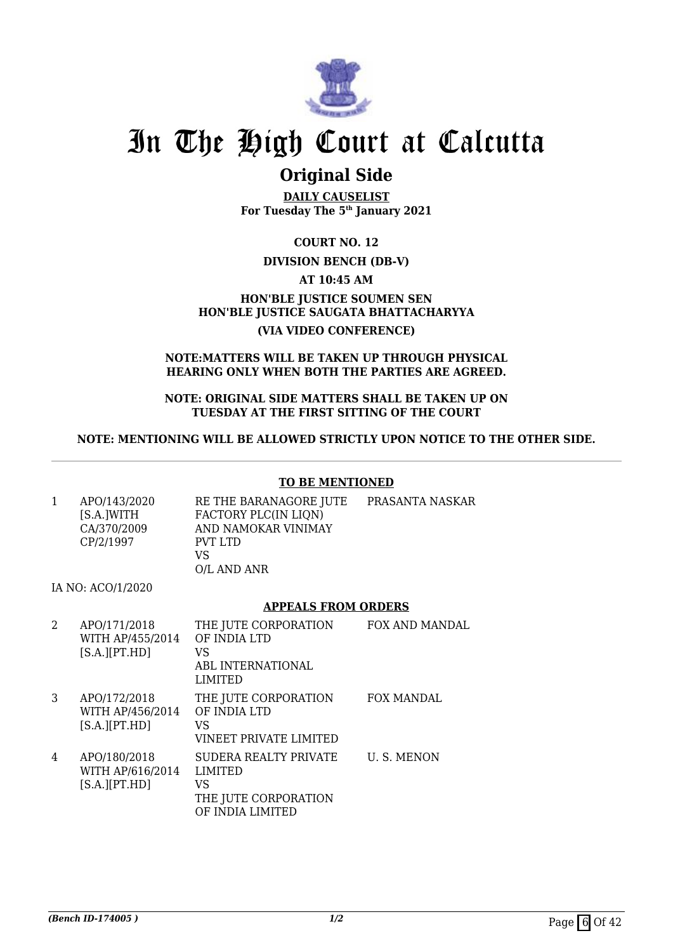

## **Original Side**

**DAILY CAUSELIST For Tuesday The 5th January 2021**

**COURT NO. 12**

## **DIVISION BENCH (DB-V)**

**AT 10:45 AM**

**HON'BLE JUSTICE SOUMEN SEN HON'BLE JUSTICE SAUGATA BHATTACHARYYA (VIA VIDEO CONFERENCE)**

#### **NOTE:MATTERS WILL BE TAKEN UP THROUGH PHYSICAL HEARING ONLY WHEN BOTH THE PARTIES ARE AGREED.**

#### **NOTE: ORIGINAL SIDE MATTERS SHALL BE TAKEN UP ON TUESDAY AT THE FIRST SITTING OF THE COURT**

## **NOTE: MENTIONING WILL BE ALLOWED STRICTLY UPON NOTICE TO THE OTHER SIDE.**

### **TO BE MENTIONED**

| APO/143/2020 | RE THE BARANAGORE JUTE | PRASANTA NASKAR |
|--------------|------------------------|-----------------|
| [S.A.]WITH   | FACTORY PLC(IN LIQN)   |                 |
| CA/370/2009  | AND NAMOKAR VINIMAY    |                 |
| CP/2/1997    | PVT LTD                |                 |
|              | VS                     |                 |
|              | O/L AND ANR            |                 |

IA NO: ACO/1/2020

### **APPEALS FROM ORDERS**

| 2 | APO/171/2018<br>WITH AP/455/2014<br>$[S.A.]$ [PT.HD] | THE JUTE CORPORATION<br>OF INDIA LTD<br>VS<br><b>ABL INTERNATIONAL</b><br><b>LIMITED</b>  | FOX AND MANDAL    |
|---|------------------------------------------------------|-------------------------------------------------------------------------------------------|-------------------|
| 3 | APO/172/2018<br>WITH AP/456/2014<br>$[S.A.]$ [PT.HD] | THE JUTE CORPORATION<br>OF INDIA LTD<br>VS<br>VINEET PRIVATE LIMITED                      | <b>FOX MANDAL</b> |
| 4 | APO/180/2018<br>WITH AP/616/2014<br>$[S.A.]$ [PT.HD] | SUDERA REALTY PRIVATE<br><b>LIMITED</b><br>VS<br>THE JUTE CORPORATION<br>OF INDIA LIMITED | U.S. MENON        |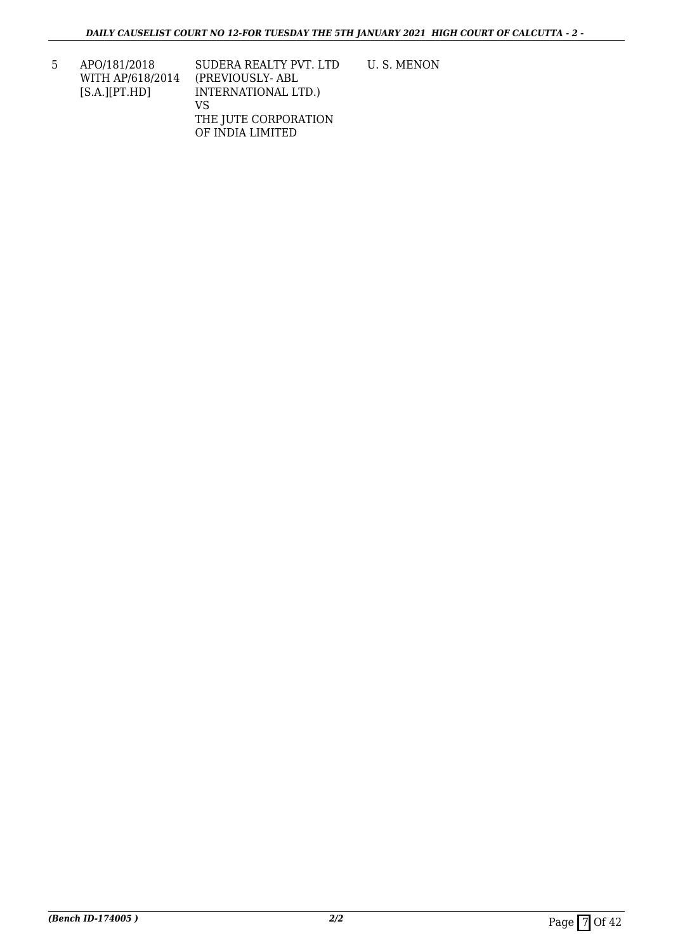| 5 | APO/181/2018       | SUDERA REALTY PVT. LTD | U.S. MENON |
|---|--------------------|------------------------|------------|
|   | WITH AP/618/2014   | (PREVIOUSLY-ABL)       |            |
|   | $[S.A.]$ $[PT.HD]$ | INTERNATIONAL LTD.)    |            |
|   |                    | VS                     |            |
|   |                    | THE JUTE CORPORATION   |            |

OF INDIA LIMITED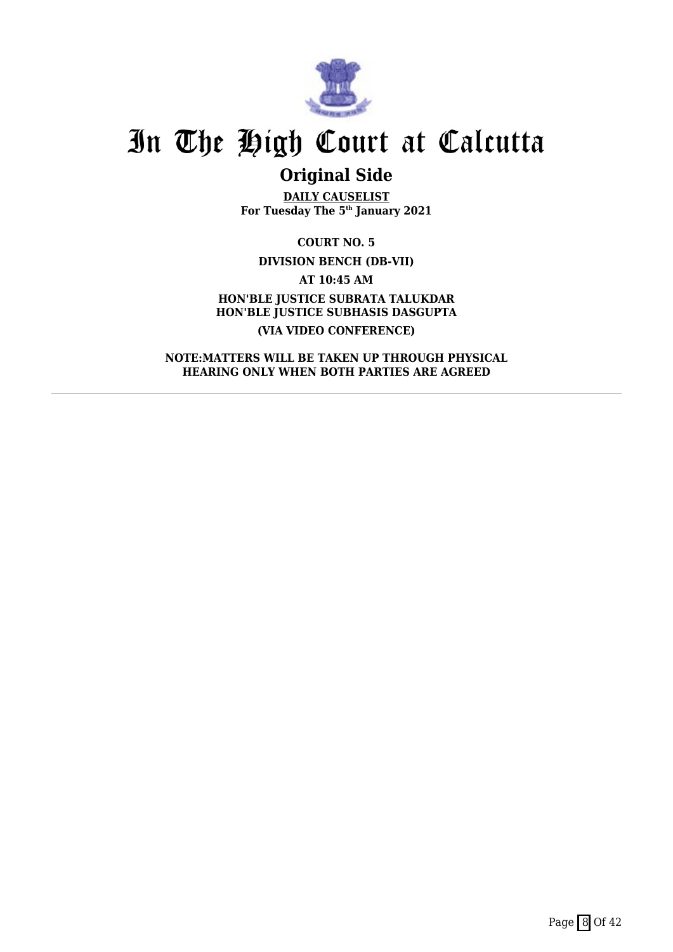

## **Original Side**

**DAILY CAUSELIST For Tuesday The 5th January 2021**

**COURT NO. 5**

**DIVISION BENCH (DB-VII)**

**AT 10:45 AM HON'BLE JUSTICE SUBRATA TALUKDAR HON'BLE JUSTICE SUBHASIS DASGUPTA (VIA VIDEO CONFERENCE)**

**NOTE:MATTERS WILL BE TAKEN UP THROUGH PHYSICAL HEARING ONLY WHEN BOTH PARTIES ARE AGREED**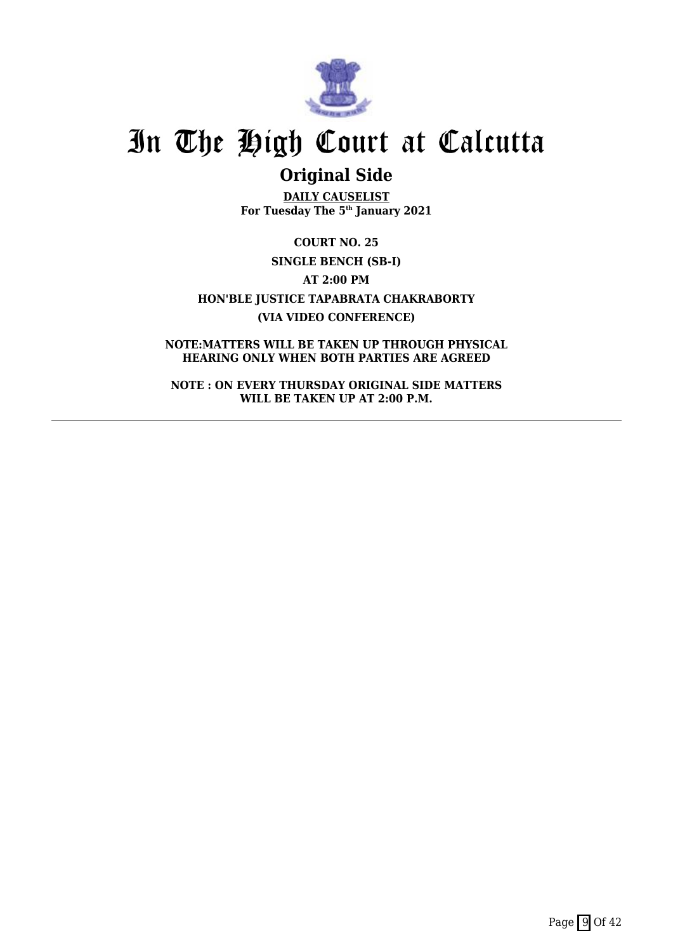

## **Original Side**

**DAILY CAUSELIST For Tuesday The 5th January 2021**

**COURT NO. 25 SINGLE BENCH (SB-I) AT 2:00 PM HON'BLE JUSTICE TAPABRATA CHAKRABORTY (VIA VIDEO CONFERENCE)**

**NOTE:MATTERS WILL BE TAKEN UP THROUGH PHYSICAL HEARING ONLY WHEN BOTH PARTIES ARE AGREED**

**NOTE : ON EVERY THURSDAY ORIGINAL SIDE MATTERS WILL BE TAKEN UP AT 2:00 P.M.**

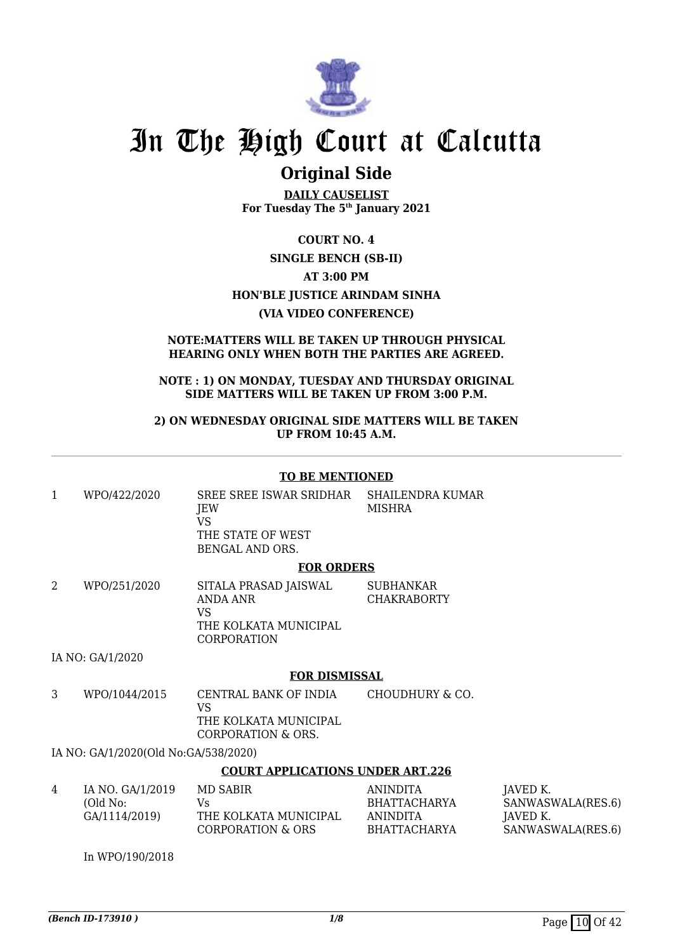

## **Original Side**

**DAILY CAUSELIST For Tuesday The 5th January 2021**

### **COURT NO. 4**

## **SINGLE BENCH (SB-II) AT 3:00 PM**

## **HON'BLE JUSTICE ARINDAM SINHA**

## **(VIA VIDEO CONFERENCE)**

#### **NOTE:MATTERS WILL BE TAKEN UP THROUGH PHYSICAL HEARING ONLY WHEN BOTH THE PARTIES ARE AGREED.**

### **NOTE : 1) ON MONDAY, TUESDAY AND THURSDAY ORIGINAL SIDE MATTERS WILL BE TAKEN UP FROM 3:00 P.M.**

### **2) ON WEDNESDAY ORIGINAL SIDE MATTERS WILL BE TAKEN UP FROM 10:45 A.M.**

### **TO BE MENTIONED**

1 WPO/422/2020 SREE SREE ISWAR SRIDHAR JEW VS THE STATE OF WEST BENGAL AND ORS. SHAILENDRA KUMAR MISHRA **FOR ORDERS**

#### 2 WPO/251/2020 SITALA PRASAD JAISWAL ANDA ANR VS THE KOLKATA MUNICIPAL CORPORATION SUBHANKAR CHAKRABORTY

### IA NO: GA/1/2020

### **FOR DISMISSAL**

3 WPO/1044/2015 CENTRAL BANK OF INDIA VS THE KOLKATA MUNICIPAL CORPORATION & ORS. CHOUDHURY & CO.

### IA NO: GA/1/2020(Old No:GA/538/2020)

### **COURT APPLICATIONS UNDER ART.226**

| 4 | IA NO. GA/1/2019<br>(Old No:<br>GA/1114/2019) | MD SABIR<br>Vs<br>THE KOLKATA MUNICIPAL<br>CORPORATION & ORS | ANINDITA<br>BHATTACHARYA<br>ANINDITA<br><b>BHATTACHARYA</b> | IAVED K.<br>SANWASWALA(RES.6)<br>IAVED K.<br>SANWASWALA(RES.6) |
|---|-----------------------------------------------|--------------------------------------------------------------|-------------------------------------------------------------|----------------------------------------------------------------|
|   |                                               |                                                              |                                                             |                                                                |

In WPO/190/2018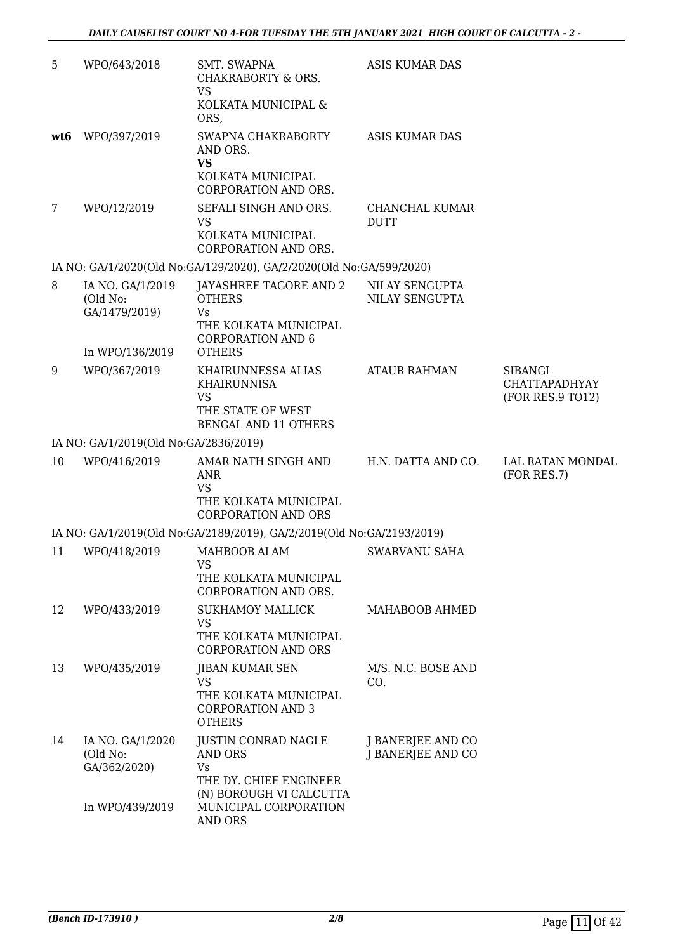| 5               | WPO/643/2018                                  | SMT. SWAPNA<br>CHAKRABORTY & ORS.<br><b>VS</b>                                                            | <b>ASIS KUMAR DAS</b>                  |                                                            |
|-----------------|-----------------------------------------------|-----------------------------------------------------------------------------------------------------------|----------------------------------------|------------------------------------------------------------|
|                 |                                               | KOLKATA MUNICIPAL &<br>ORS.                                                                               |                                        |                                                            |
| wt <sub>6</sub> | WPO/397/2019                                  | SWAPNA CHAKRABORTY<br>AND ORS.<br><b>VS</b><br>KOLKATA MUNICIPAL<br><b>CORPORATION AND ORS.</b>           | <b>ASIS KUMAR DAS</b>                  |                                                            |
| $\overline{7}$  | WPO/12/2019                                   | SEFALI SINGH AND ORS.<br><b>VS</b><br>KOLKATA MUNICIPAL<br>CORPORATION AND ORS.                           | CHANCHAL KUMAR<br><b>DUTT</b>          |                                                            |
|                 |                                               | IA NO: GA/1/2020(Old No:GA/129/2020), GA/2/2020(Old No:GA/599/2020)                                       |                                        |                                                            |
| 8               | IA NO. GA/1/2019<br>(Old No:<br>GA/1479/2019) | JAYASHREE TAGORE AND 2<br><b>OTHERS</b><br>Vs<br>THE KOLKATA MUNICIPAL<br><b>CORPORATION AND 6</b>        | NILAY SENGUPTA<br>NILAY SENGUPTA       |                                                            |
|                 | In WPO/136/2019                               | <b>OTHERS</b>                                                                                             |                                        |                                                            |
| 9               | WPO/367/2019                                  | KHAIRUNNESSA ALIAS<br>KHAIRUNNISA<br><b>VS</b><br>THE STATE OF WEST<br><b>BENGAL AND 11 OTHERS</b>        | <b>ATAUR RAHMAN</b>                    | <b>SIBANGI</b><br><b>CHATTAPADHYAY</b><br>(FOR RES.9 TO12) |
|                 | IA NO: GA/1/2019(Old No:GA/2836/2019)         |                                                                                                           |                                        |                                                            |
| 10              | WPO/416/2019                                  | AMAR NATH SINGH AND<br><b>ANR</b><br><b>VS</b><br>THE KOLKATA MUNICIPAL<br><b>CORPORATION AND ORS</b>     | H.N. DATTA AND CO.                     | LAL RATAN MONDAL<br>(FOR RES.7)                            |
|                 |                                               | IA NO: GA/1/2019(Old No:GA/2189/2019), GA/2/2019(Old No:GA/2193/2019)                                     |                                        |                                                            |
| 11              | WPO/418/2019                                  | MAHBOOB ALAM<br><b>VS</b><br>THE KOLKATA MUNICIPAL<br>CORPORATION AND ORS.                                | SWARVANU SAHA                          |                                                            |
| 12              | WPO/433/2019                                  | <b>SUKHAMOY MALLICK</b><br><b>VS</b><br>THE KOLKATA MUNICIPAL<br><b>CORPORATION AND ORS</b>               | MAHABOOB AHMED                         |                                                            |
| 13              | WPO/435/2019                                  | <b>JIBAN KUMAR SEN</b><br><b>VS</b><br>THE KOLKATA MUNICIPAL<br><b>CORPORATION AND 3</b><br><b>OTHERS</b> | M/S. N.C. BOSE AND<br>CO.              |                                                            |
| 14              | IA NO. GA/1/2020<br>(Old No:<br>GA/362/2020)  | JUSTIN CONRAD NAGLE<br>AND ORS<br><b>Vs</b><br>THE DY. CHIEF ENGINEER<br>(N) BOROUGH VI CALCUTTA          | J BANERJEE AND CO<br>J BANERJEE AND CO |                                                            |
|                 | In WPO/439/2019                               | MUNICIPAL CORPORATION<br><b>AND ORS</b>                                                                   |                                        |                                                            |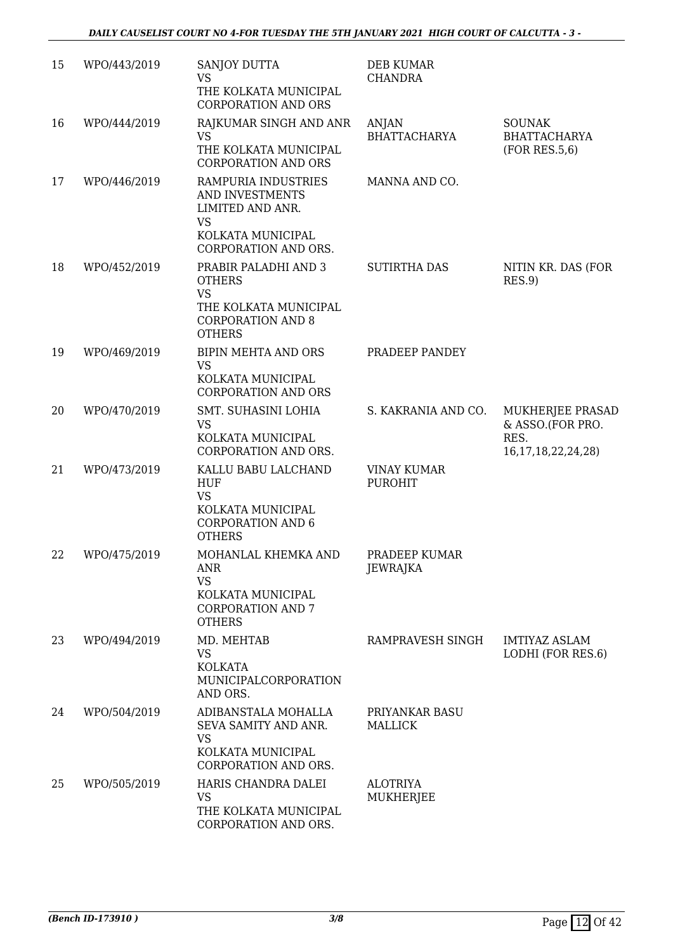| 15 | WPO/443/2019 | SANJOY DUTTA<br><b>VS</b><br>THE KOLKATA MUNICIPAL<br><b>CORPORATION AND ORS</b>                                         | DEB KUMAR<br><b>CHANDRA</b>          |                                                                         |
|----|--------------|--------------------------------------------------------------------------------------------------------------------------|--------------------------------------|-------------------------------------------------------------------------|
| 16 | WPO/444/2019 | RAJKUMAR SINGH AND ANR<br><b>VS</b><br>THE KOLKATA MUNICIPAL<br><b>CORPORATION AND ORS</b>                               | <b>ANJAN</b><br><b>BHATTACHARYA</b>  | <b>SOUNAK</b><br><b>BHATTACHARYA</b><br>(FOR RES.5,6)                   |
| 17 | WPO/446/2019 | RAMPURIA INDUSTRIES<br>AND INVESTMENTS<br>LIMITED AND ANR.<br><b>VS</b><br>KOLKATA MUNICIPAL<br>CORPORATION AND ORS.     | MANNA AND CO.                        |                                                                         |
| 18 | WPO/452/2019 | PRABIR PALADHI AND 3<br><b>OTHERS</b><br><b>VS</b><br>THE KOLKATA MUNICIPAL<br><b>CORPORATION AND 8</b><br><b>OTHERS</b> | <b>SUTIRTHA DAS</b>                  | NITIN KR. DAS (FOR<br>RES.9                                             |
| 19 | WPO/469/2019 | <b>BIPIN MEHTA AND ORS</b><br><b>VS</b><br>KOLKATA MUNICIPAL<br><b>CORPORATION AND ORS</b>                               | PRADEEP PANDEY                       |                                                                         |
| 20 | WPO/470/2019 | SMT. SUHASINI LOHIA<br><b>VS</b><br>KOLKATA MUNICIPAL<br>CORPORATION AND ORS.                                            | S. KAKRANIA AND CO.                  | MUKHERJEE PRASAD<br>& ASSO.(FOR PRO.<br>RES.<br>16, 17, 18, 22, 24, 28) |
| 21 | WPO/473/2019 | KALLU BABU LALCHAND<br>HUF<br><b>VS</b><br>KOLKATA MUNICIPAL<br><b>CORPORATION AND 6</b><br><b>OTHERS</b>                | <b>VINAY KUMAR</b><br><b>PUROHIT</b> |                                                                         |
| 22 | WPO/475/2019 | MOHANLAL KHEMKA AND<br>ANR<br><b>VS</b><br>KOLKATA MUNICIPAL<br><b>CORPORATION AND 7</b><br><b>OTHERS</b>                | PRADEEP KUMAR<br><b>JEWRAJKA</b>     |                                                                         |
| 23 | WPO/494/2019 | MD. MEHTAB<br><b>VS</b><br><b>KOLKATA</b><br>MUNICIPALCORPORATION<br>AND ORS.                                            | RAMPRAVESH SINGH                     | <b>IMTIYAZ ASLAM</b><br>LODHI (FOR RES.6)                               |
| 24 | WPO/504/2019 | ADIBANSTALA MOHALLA<br>SEVA SAMITY AND ANR.<br><b>VS</b><br>KOLKATA MUNICIPAL<br><b>CORPORATION AND ORS.</b>             | PRIYANKAR BASU<br>MALLICK            |                                                                         |
| 25 | WPO/505/2019 | HARIS CHANDRA DALEI<br><b>VS</b><br>THE KOLKATA MUNICIPAL<br>CORPORATION AND ORS.                                        | <b>ALOTRIYA</b><br>MUKHERJEE         |                                                                         |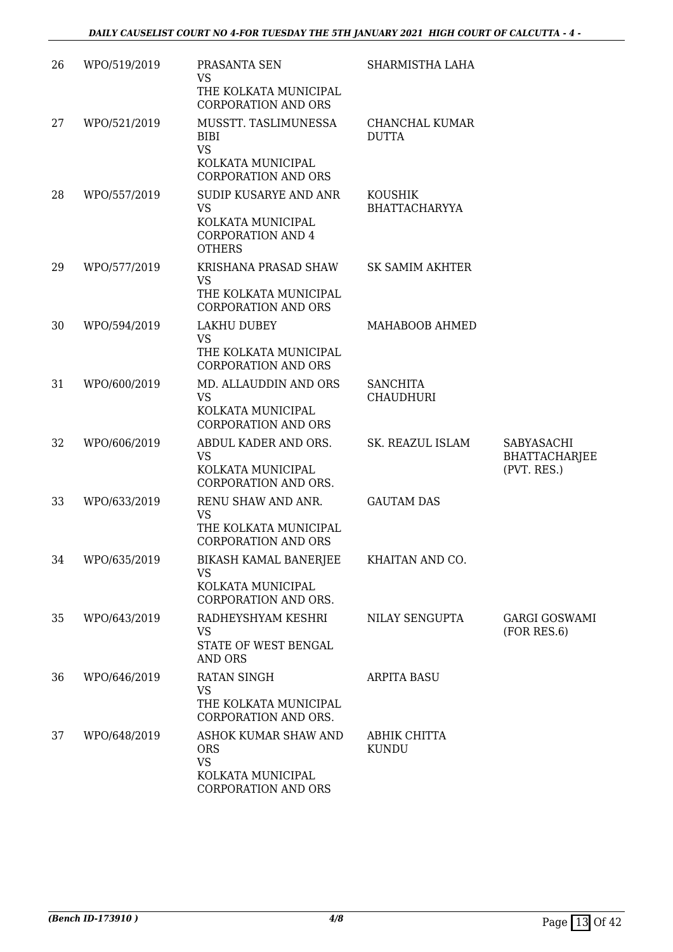| 26 | WPO/519/2019 | PRASANTA SEN<br><b>VS</b><br>THE KOLKATA MUNICIPAL<br><b>CORPORATION AND ORS</b>                     | SHARMISTHA LAHA                        |                                                   |
|----|--------------|------------------------------------------------------------------------------------------------------|----------------------------------------|---------------------------------------------------|
| 27 | WPO/521/2019 | MUSSTT. TASLIMUNESSA<br><b>BIBI</b><br><b>VS</b><br>KOLKATA MUNICIPAL<br><b>CORPORATION AND ORS</b>  | <b>CHANCHAL KUMAR</b><br><b>DUTTA</b>  |                                                   |
| 28 | WPO/557/2019 | SUDIP KUSARYE AND ANR<br><b>VS</b><br>KOLKATA MUNICIPAL<br><b>CORPORATION AND 4</b><br><b>OTHERS</b> | <b>KOUSHIK</b><br><b>BHATTACHARYYA</b> |                                                   |
| 29 | WPO/577/2019 | KRISHANA PRASAD SHAW<br><b>VS</b><br>THE KOLKATA MUNICIPAL<br><b>CORPORATION AND ORS</b>             | SK SAMIM AKHTER                        |                                                   |
| 30 | WPO/594/2019 | <b>LAKHU DUBEY</b><br><b>VS</b><br>THE KOLKATA MUNICIPAL<br><b>CORPORATION AND ORS</b>               | MAHABOOB AHMED                         |                                                   |
| 31 | WPO/600/2019 | MD. ALLAUDDIN AND ORS<br><b>VS</b><br>KOLKATA MUNICIPAL<br><b>CORPORATION AND ORS</b>                | <b>SANCHITA</b><br><b>CHAUDHURI</b>    |                                                   |
| 32 | WPO/606/2019 | ABDUL KADER AND ORS.<br><b>VS</b><br>KOLKATA MUNICIPAL<br>CORPORATION AND ORS.                       | SK. REAZUL ISLAM                       | SABYASACHI<br><b>BHATTACHARJEE</b><br>(PVT. RES.) |
| 33 | WPO/633/2019 | RENU SHAW AND ANR.<br><b>VS</b><br>THE KOLKATA MUNICIPAL<br><b>CORPORATION AND ORS</b>               | <b>GAUTAM DAS</b>                      |                                                   |
| 34 | WPO/635/2019 | BIKASH KAMAL BANERJEE<br><b>VS</b><br>KOLKATA MUNICIPAL<br>CORPORATION AND ORS.                      | KHAITAN AND CO.                        |                                                   |
| 35 | WPO/643/2019 | RADHEYSHYAM KESHRI<br><b>VS</b><br>STATE OF WEST BENGAL<br><b>AND ORS</b>                            | NILAY SENGUPTA                         | <b>GARGI GOSWAMI</b><br>(FOR RES.6)               |
| 36 | WPO/646/2019 | RATAN SINGH<br><b>VS</b><br>THE KOLKATA MUNICIPAL<br>CORPORATION AND ORS.                            | <b>ARPITA BASU</b>                     |                                                   |
| 37 | WPO/648/2019 | ASHOK KUMAR SHAW AND<br><b>ORS</b><br><b>VS</b><br>KOLKATA MUNICIPAL<br><b>CORPORATION AND ORS</b>   | ABHIK CHITTA<br>KUNDU                  |                                                   |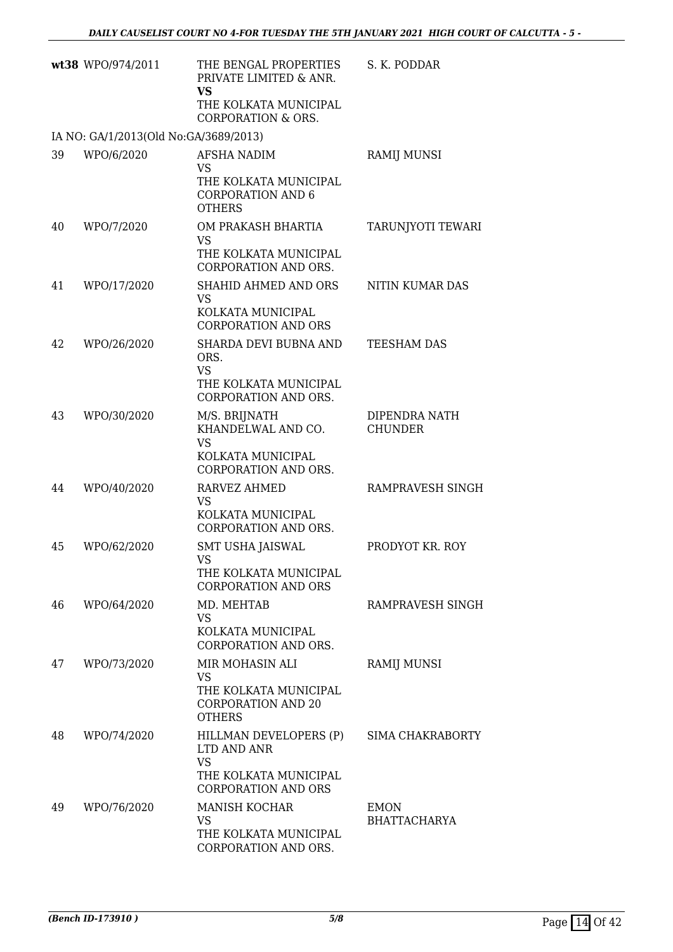|    | wt38 WPO/974/2011                     | THE BENGAL PROPERTIES<br>PRIVATE LIMITED & ANR.<br><b>VS</b><br>THE KOLKATA MUNICIPAL<br><b>CORPORATION &amp; ORS.</b> | S. K. PODDAR                       |
|----|---------------------------------------|------------------------------------------------------------------------------------------------------------------------|------------------------------------|
|    | IA NO: GA/1/2013(Old No:GA/3689/2013) |                                                                                                                        |                                    |
| 39 | WPO/6/2020                            | AFSHA NADIM<br><b>VS</b><br>THE KOLKATA MUNICIPAL<br><b>CORPORATION AND 6</b><br><b>OTHERS</b>                         | <b>RAMIJ MUNSI</b>                 |
| 40 | WPO/7/2020                            | OM PRAKASH BHARTIA<br><b>VS</b><br>THE KOLKATA MUNICIPAL<br>CORPORATION AND ORS.                                       | TARUNJYOTI TEWARI                  |
| 41 | WPO/17/2020                           | SHAHID AHMED AND ORS<br><b>VS</b><br>KOLKATA MUNICIPAL<br><b>CORPORATION AND ORS</b>                                   | NITIN KUMAR DAS                    |
| 42 | WPO/26/2020                           | SHARDA DEVI BUBNA AND<br>ORS.<br><b>VS</b><br>THE KOLKATA MUNICIPAL<br>CORPORATION AND ORS.                            | <b>TEESHAM DAS</b>                 |
| 43 | WPO/30/2020                           | M/S. BRIJNATH<br>KHANDELWAL AND CO.<br><b>VS</b><br>KOLKATA MUNICIPAL<br>CORPORATION AND ORS.                          | DIPENDRA NATH<br><b>CHUNDER</b>    |
| 44 | WPO/40/2020                           | RARVEZ AHMED<br><b>VS</b><br>KOLKATA MUNICIPAL<br>CORPORATION AND ORS.                                                 | RAMPRAVESH SINGH                   |
| 45 | WPO/62/2020                           | <b>SMT USHA JAISWAL</b><br><b>VS</b><br>THE KOLKATA MUNICIPAL<br><b>CORPORATION AND ORS</b>                            | PRODYOT KR. ROY                    |
| 46 | WPO/64/2020                           | MD. MEHTAB<br><b>VS</b><br>KOLKATA MUNICIPAL<br>CORPORATION AND ORS.                                                   | RAMPRAVESH SINGH                   |
| 47 | WPO/73/2020                           | MIR MOHASIN ALI<br><b>VS</b><br>THE KOLKATA MUNICIPAL<br><b>CORPORATION AND 20</b><br><b>OTHERS</b>                    | <b>RAMIJ MUNSI</b>                 |
| 48 | WPO/74/2020                           | HILLMAN DEVELOPERS (P)<br>LTD AND ANR<br><b>VS</b><br>THE KOLKATA MUNICIPAL<br><b>CORPORATION AND ORS</b>              | SIMA CHAKRABORTY                   |
| 49 | WPO/76/2020                           | MANISH KOCHAR<br><b>VS</b><br>THE KOLKATA MUNICIPAL<br>CORPORATION AND ORS.                                            | <b>EMON</b><br><b>BHATTACHARYA</b> |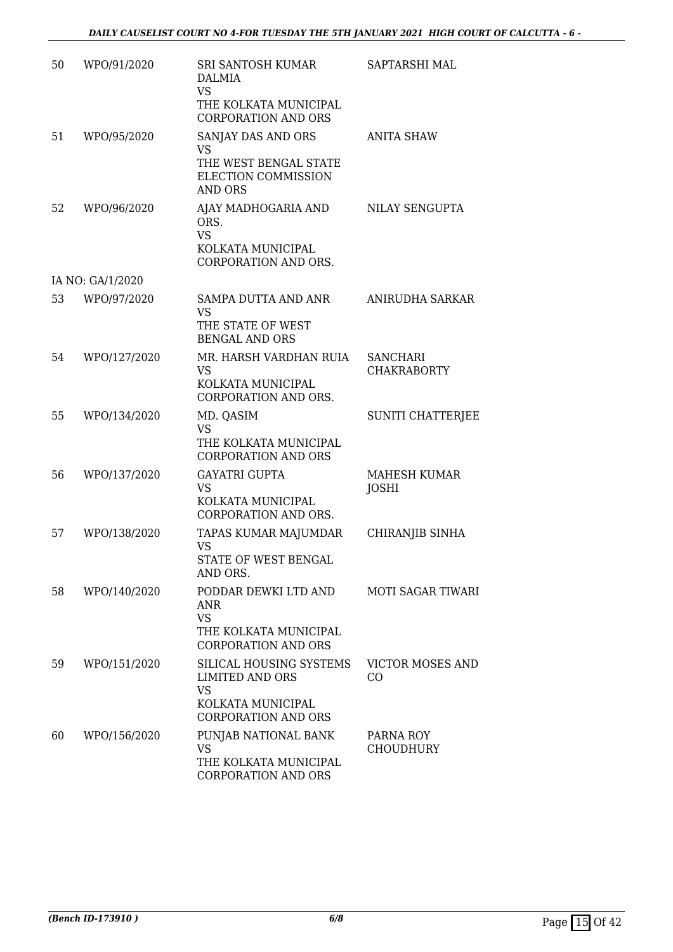| 50 | WPO/91/2020      | SRI SANTOSH KUMAR<br>DALMIA<br><b>VS</b><br>THE KOLKATA MUNICIPAL                                                 | SAPTARSHI MAL                         |
|----|------------------|-------------------------------------------------------------------------------------------------------------------|---------------------------------------|
|    |                  | <b>CORPORATION AND ORS</b>                                                                                        |                                       |
| 51 | WPO/95/2020      | SANJAY DAS AND ORS<br>VS.<br>THE WEST BENGAL STATE<br>ELECTION COMMISSION<br><b>AND ORS</b>                       | <b>ANITA SHAW</b>                     |
| 52 | WPO/96/2020      | AJAY MADHOGARIA AND<br>ORS.<br><b>VS</b><br>KOLKATA MUNICIPAL<br>CORPORATION AND ORS.                             | NILAY SENGUPTA                        |
|    | IA NO: GA/1/2020 |                                                                                                                   |                                       |
| 53 | WPO/97/2020      | SAMPA DUTTA AND ANR<br><b>VS</b><br>THE STATE OF WEST<br><b>BENGAL AND ORS</b>                                    | ANIRUDHA SARKAR                       |
| 54 | WPO/127/2020     | MR. HARSH VARDHAN RUIA<br><b>VS</b><br>KOLKATA MUNICIPAL<br>CORPORATION AND ORS.                                  | <b>SANCHARI</b><br><b>CHAKRABORTY</b> |
| 55 | WPO/134/2020     | MD. QASIM<br><b>VS</b><br>THE KOLKATA MUNICIPAL<br><b>CORPORATION AND ORS</b>                                     | <b>SUNITI CHATTERJEE</b>              |
| 56 | WPO/137/2020     | <b>GAYATRI GUPTA</b><br><b>VS</b><br>KOLKATA MUNICIPAL<br>CORPORATION AND ORS.                                    | <b>MAHESH KUMAR</b><br><b>JOSHI</b>   |
| 57 | WPO/138/2020     | TAPAS KUMAR MAJUMDAR<br><b>VS</b><br>STATE OF WEST BENGAL<br>AND ORS.                                             | CHIRANJIB SINHA                       |
| 58 | WPO/140/2020     | PODDAR DEWKI LTD AND<br><b>ANR</b><br><b>VS</b><br>THE KOLKATA MUNICIPAL<br><b>CORPORATION AND ORS</b>            | <b>MOTI SAGAR TIWARI</b>              |
| 59 | WPO/151/2020     | SILICAL HOUSING SYSTEMS<br><b>LIMITED AND ORS</b><br><b>VS</b><br>KOLKATA MUNICIPAL<br><b>CORPORATION AND ORS</b> | <b>VICTOR MOSES AND</b><br>CO         |
| 60 | WPO/156/2020     | PUNJAB NATIONAL BANK<br><b>VS</b><br>THE KOLKATA MUNICIPAL<br><b>CORPORATION AND ORS</b>                          | PARNA ROY<br><b>CHOUDHURY</b>         |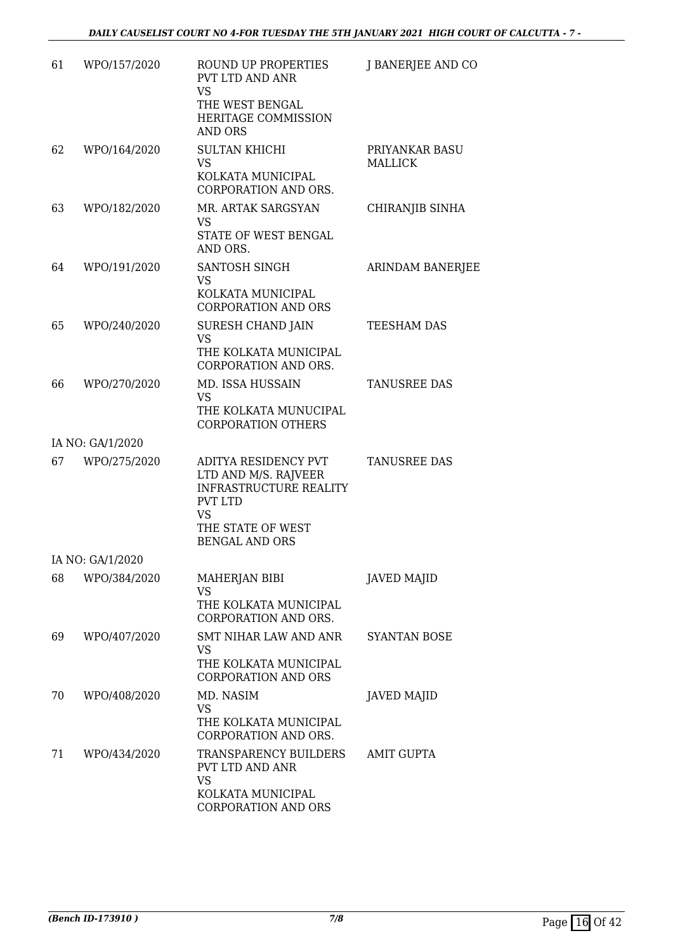| 61 | WPO/157/2020     | ROUND UP PROPERTIES<br>PVT LTD AND ANR<br><b>VS</b><br>THE WEST BENGAL<br><b>HERITAGE COMMISSION</b><br><b>AND ORS</b>                                     | J BANERJEE AND CO                |
|----|------------------|------------------------------------------------------------------------------------------------------------------------------------------------------------|----------------------------------|
| 62 | WPO/164/2020     | <b>SULTAN KHICHI</b><br><b>VS</b><br>KOLKATA MUNICIPAL<br><b>CORPORATION AND ORS.</b>                                                                      | PRIYANKAR BASU<br><b>MALLICK</b> |
| 63 | WPO/182/2020     | MR. ARTAK SARGSYAN<br><b>VS</b><br>STATE OF WEST BENGAL<br>AND ORS.                                                                                        | CHIRANJIB SINHA                  |
| 64 | WPO/191/2020     | SANTOSH SINGH<br><b>VS</b><br>KOLKATA MUNICIPAL<br><b>CORPORATION AND ORS</b>                                                                              | <b>ARINDAM BANERJEE</b>          |
| 65 | WPO/240/2020     | SURESH CHAND JAIN<br><b>VS</b><br>THE KOLKATA MUNICIPAL<br>CORPORATION AND ORS.                                                                            | TEESHAM DAS                      |
| 66 | WPO/270/2020     | MD. ISSA HUSSAIN<br><b>VS</b><br>THE KOLKATA MUNUCIPAL<br><b>CORPORATION OTHERS</b>                                                                        | <b>TANUSREE DAS</b>              |
|    | IA NO: GA/1/2020 |                                                                                                                                                            |                                  |
| 67 | WPO/275/2020     | ADITYA RESIDENCY PVT<br>LTD AND M/S. RAJVEER<br><b>INFRASTRUCTURE REALITY</b><br><b>PVT LTD</b><br><b>VS</b><br>THE STATE OF WEST<br><b>BENGAL AND ORS</b> | <b>TANUSREE DAS</b>              |
|    | IA NO: GA/1/2020 |                                                                                                                                                            |                                  |
| 68 | WPO/384/2020     | MAHERJAN BIBI<br><b>VS</b><br>THE KOLKATA MUNICIPAL<br>CORPORATION AND ORS.                                                                                | <b>JAVED MAJID</b>               |
| 69 | WPO/407/2020     | SMT NIHAR LAW AND ANR<br><b>VS</b><br>THE KOLKATA MUNICIPAL<br><b>CORPORATION AND ORS</b>                                                                  | <b>SYANTAN BOSE</b>              |
| 70 | WPO/408/2020     | MD. NASIM<br>VS<br>THE KOLKATA MUNICIPAL<br>CORPORATION AND ORS.                                                                                           | <b>JAVED MAJID</b>               |
| 71 | WPO/434/2020     | TRANSPARENCY BUILDERS<br>PVT LTD AND ANR<br><b>VS</b><br>KOLKATA MUNICIPAL<br>CORPORATION AND ORS                                                          | <b>AMIT GUPTA</b>                |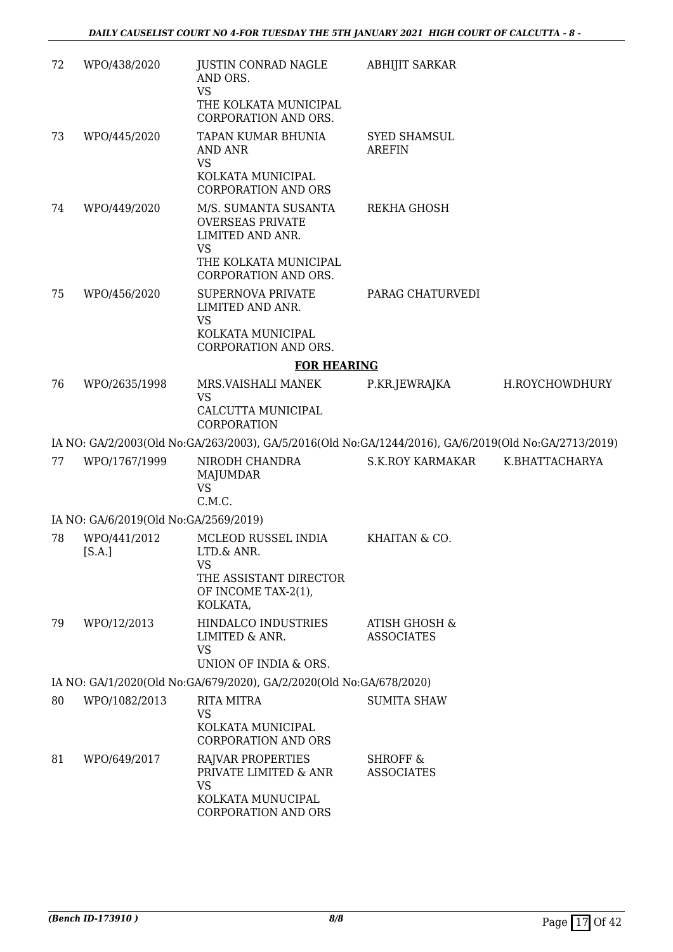| 72 | WPO/438/2020                          | JUSTIN CONRAD NAGLE<br>AND ORS.<br><b>VS</b><br>THE KOLKATA MUNICIPAL<br>CORPORATION AND ORS.                                     | <b>ABHIJIT SARKAR</b>                         |                |
|----|---------------------------------------|-----------------------------------------------------------------------------------------------------------------------------------|-----------------------------------------------|----------------|
| 73 | WPO/445/2020                          | TAPAN KUMAR BHUNIA<br>AND ANR<br><b>VS</b>                                                                                        | <b>SYED SHAMSUL</b><br><b>AREFIN</b>          |                |
|    |                                       | KOLKATA MUNICIPAL<br><b>CORPORATION AND ORS</b>                                                                                   |                                               |                |
| 74 | WPO/449/2020                          | M/S. SUMANTA SUSANTA<br><b>OVERSEAS PRIVATE</b><br>LIMITED AND ANR.<br><b>VS</b><br>THE KOLKATA MUNICIPAL<br>CORPORATION AND ORS. | <b>REKHA GHOSH</b>                            |                |
| 75 | WPO/456/2020                          | <b>SUPERNOVA PRIVATE</b><br>LIMITED AND ANR.<br><b>VS</b>                                                                         | PARAG CHATURVEDI                              |                |
|    |                                       | KOLKATA MUNICIPAL<br>CORPORATION AND ORS.                                                                                         |                                               |                |
|    |                                       | <b>FOR HEARING</b>                                                                                                                |                                               |                |
| 76 | WPO/2635/1998                         | MRS.VAISHALI MANEK<br><b>VS</b><br>CALCUTTA MUNICIPAL<br>CORPORATION                                                              | P.KR.JEWRAJKA                                 | H.ROYCHOWDHURY |
|    |                                       | IA NO: GA/2/2003(Old No:GA/263/2003), GA/5/2016(Old No:GA/1244/2016), GA/6/2019(Old No:GA/2713/2019)                              |                                               |                |
| 77 | WPO/1767/1999                         | NIRODH CHANDRA<br>MAJUMDAR<br><b>VS</b><br>C.M.C.                                                                                 | <b>S.K.ROY KARMAKAR</b>                       | K.BHATTACHARYA |
|    | IA NO: GA/6/2019(Old No:GA/2569/2019) |                                                                                                                                   |                                               |                |
| 78 | WPO/441/2012<br>[S.A.]                | MCLEOD RUSSEL INDIA<br>LTD.& ANR.                                                                                                 | KHAITAN & CO.                                 |                |
|    |                                       | <b>VS</b><br>THE ASSISTANT DIRECTOR<br>OF INCOME TAX-2(1),<br>KOLKATA,                                                            |                                               |                |
| 79 | WPO/12/2013                           | HINDALCO INDUSTRIES<br>LIMITED & ANR.<br><b>VS</b><br>UNION OF INDIA & ORS.                                                       | <b>ATISH GHOSH &amp;</b><br><b>ASSOCIATES</b> |                |
|    |                                       | IA NO: GA/1/2020(Old No: GA/679/2020), GA/2/2020(Old No: GA/678/2020)                                                             |                                               |                |
| 80 | WPO/1082/2013                         | <b>RITA MITRA</b><br><b>VS</b><br>KOLKATA MUNICIPAL<br><b>CORPORATION AND ORS</b>                                                 | <b>SUMITA SHAW</b>                            |                |
| 81 | WPO/649/2017                          | <b>RAJVAR PROPERTIES</b><br>PRIVATE LIMITED & ANR<br><b>VS</b><br>KOLKATA MUNUCIPAL<br>CORPORATION AND ORS                        | <b>SHROFF &amp;</b><br><b>ASSOCIATES</b>      |                |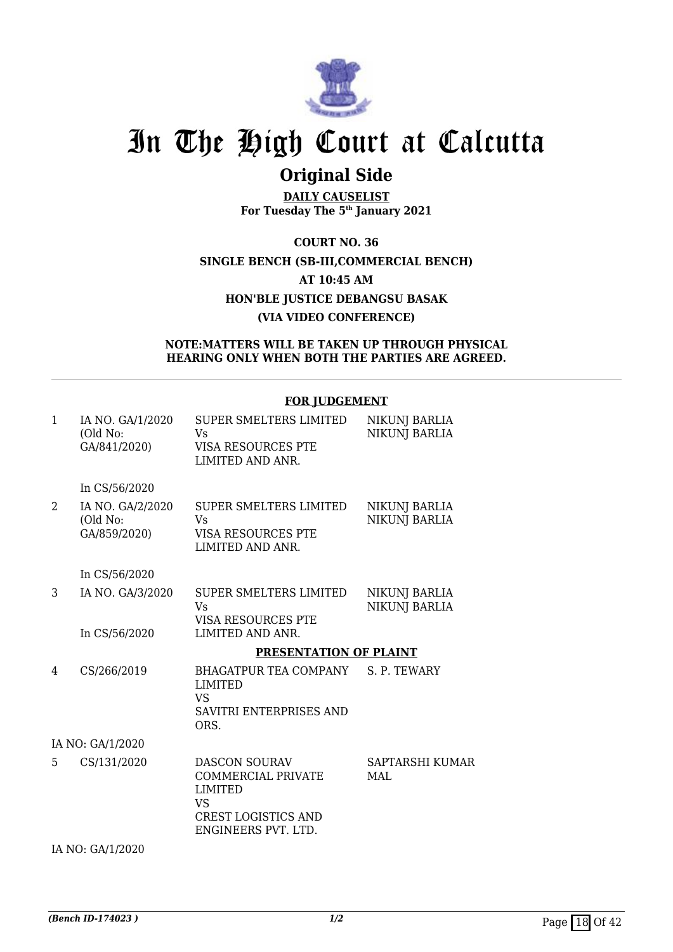

## **Original Side**

**DAILY CAUSELIST For Tuesday The 5th January 2021**

**COURT NO. 36 SINGLE BENCH (SB-III,COMMERCIAL BENCH) AT 10:45 AM HON'BLE JUSTICE DEBANGSU BASAK (VIA VIDEO CONFERENCE)**

### **NOTE:MATTERS WILL BE TAKEN UP THROUGH PHYSICAL HEARING ONLY WHEN BOTH THE PARTIES ARE AGREED.**

### **FOR JUDGEMENT**

| $\mathbf{1}$   | IA NO. GA/1/2020<br>(Old No:<br>GA/841/2020) | <b>SUPER SMELTERS LIMITED</b><br>Vs<br>VISA RESOURCES PTE<br>LIMITED AND ANR.                                                  | <b>NIKUNJ BARLIA</b><br><b>NIKUNJ BARLIA</b> |
|----------------|----------------------------------------------|--------------------------------------------------------------------------------------------------------------------------------|----------------------------------------------|
|                | In CS/56/2020                                |                                                                                                                                |                                              |
| $\overline{2}$ | IA NO. GA/2/2020<br>(Old No:<br>GA/859/2020) | <b>SUPER SMELTERS LIMITED</b><br>Vs<br>VISA RESOURCES PTE<br>LIMITED AND ANR.                                                  | <b>NIKUNJ BARLIA</b><br><b>NIKUNJ BARLIA</b> |
|                | In CS/56/2020                                |                                                                                                                                |                                              |
| 3              | IA NO. GA/3/2020                             | SUPER SMELTERS LIMITED<br><b>V<sub>S</sub></b><br>VISA RESOURCES PTE                                                           | NIKUNJ BARLIA<br><b>NIKUNJ BARLIA</b>        |
|                | In CS/56/2020                                | LIMITED AND ANR.                                                                                                               |                                              |
|                |                                              | PRESENTATION OF PLAINT                                                                                                         |                                              |
| 4              | CS/266/2019                                  | BHAGATPUR TEA COMPANY<br><b>LIMITED</b><br><b>VS</b><br>SAVITRI ENTERPRISES AND<br>ORS.                                        | S. P. TEWARY                                 |
|                | IA NO: GA/1/2020                             |                                                                                                                                |                                              |
| 5              | CS/131/2020                                  | <b>DASCON SOURAV</b><br>COMMERCIAL PRIVATE<br><b>LIMITED</b><br><b>VS</b><br><b>CREST LOGISTICS AND</b><br>ENGINEERS PVT. LTD. | <b>SAPTARSHI KUMAR</b><br>MAL                |
|                | IA NO: GA/1/2020                             |                                                                                                                                |                                              |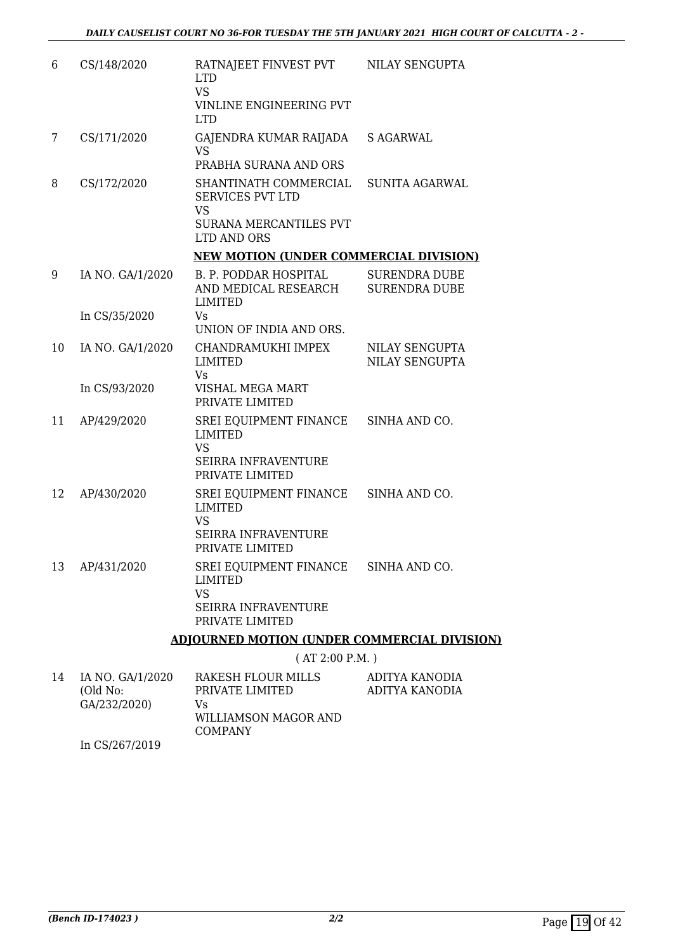| 6  | CS/148/2020      | RATNAJEET FINVEST PVT NILAY SENGUPTA<br><b>LTD</b><br><b>VS</b>                                        |                                              |
|----|------------------|--------------------------------------------------------------------------------------------------------|----------------------------------------------|
|    |                  | VINLINE ENGINEERING PVT<br><b>LTD</b>                                                                  |                                              |
| 7  | CS/171/2020      | GAJENDRA KUMAR RAIJADA S AGARWAL<br><b>VS</b>                                                          |                                              |
|    |                  | PRABHA SURANA AND ORS                                                                                  |                                              |
| 8  | CS/172/2020      | SHANTINATH COMMERCIAL<br><b>SERVICES PVT LTD</b><br><b>VS</b><br>SURANA MERCANTILES PVT<br>LTD AND ORS | <b>SUNITA AGARWAL</b>                        |
|    |                  | <b>NEW MOTION (UNDER COMMERCIAL DIVISION)</b>                                                          |                                              |
| 9  | IA NO. GA/1/2020 | B. P. PODDAR HOSPITAL<br>AND MEDICAL RESEARCH<br><b>LIMITED</b>                                        | <b>SURENDRA DUBE</b><br><b>SURENDRA DUBE</b> |
|    | In CS/35/2020    | Vs.                                                                                                    |                                              |
|    |                  | UNION OF INDIA AND ORS.                                                                                |                                              |
| 10 | IA NO. GA/1/2020 | CHANDRAMUKHI IMPEX<br><b>LIMITED</b><br>Vs                                                             | <b>NILAY SENGUPTA</b><br>NILAY SENGUPTA      |
|    | In CS/93/2020    | VISHAL MEGA MART<br>PRIVATE LIMITED                                                                    |                                              |
| 11 | AP/429/2020      | SREI EQUIPMENT FINANCE SINHA AND CO.<br><b>LIMITED</b><br><b>VS</b>                                    |                                              |
|    |                  | <b>SEIRRA INFRAVENTURE</b><br>PRIVATE LIMITED                                                          |                                              |
| 12 | AP/430/2020      | SREI EQUIPMENT FINANCE SINHA AND CO.<br><b>LIMITED</b><br><b>VS</b>                                    |                                              |
|    |                  | SEIRRA INFRAVENTURE<br>PRIVATE LIMITED                                                                 |                                              |
| 13 | AP/431/2020      | SREI EQUIPMENT FINANCE<br>LIMITED<br><b>VS</b><br><b>SEIRRA INFRAVENTURE</b>                           | SINHA AND CO.                                |
|    |                  | PRIVATE LIMITED                                                                                        |                                              |
|    |                  | ADJOURNED MOTION (UNDER COMMERCIAL DIVISION)                                                           |                                              |
|    |                  | (AT 2:00 P.M. )                                                                                        |                                              |

| 14 | IA NO. GA/1/2020 | RAKESH FLOUR MILLS   | ADITYA KANODIA |
|----|------------------|----------------------|----------------|
|    | (Old No:         | PRIVATE LIMITED      | ADITYA KANODIA |
|    | GA/232/2020)     | Vs                   |                |
|    |                  | WILLIAMSON MAGOR AND |                |
|    |                  | <b>COMPANY</b>       |                |
|    | In CCD67/2010    |                      |                |

In CS/267/2019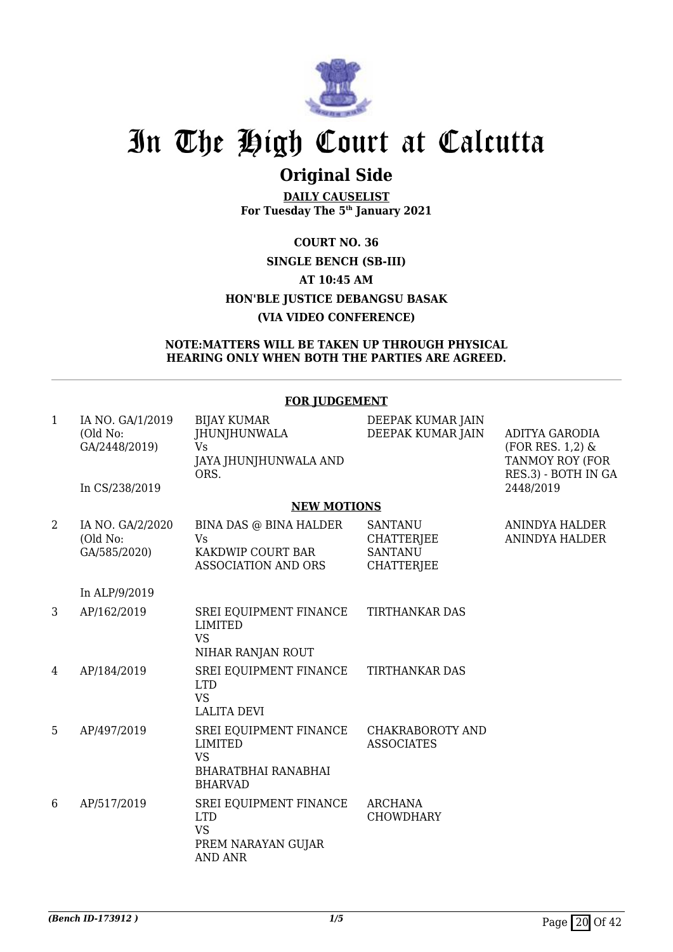

## **Original Side**

**DAILY CAUSELIST For Tuesday The 5th January 2021**

## **COURT NO. 36 SINGLE BENCH (SB-III) AT 10:45 AM HON'BLE JUSTICE DEBANGSU BASAK (VIA VIDEO CONFERENCE)**

### **NOTE:MATTERS WILL BE TAKEN UP THROUGH PHYSICAL HEARING ONLY WHEN BOTH THE PARTIES ARE AGREED.**

|              |                                                                 | <u>LON JODOLININI </u>                                                                                |                                                                            |                                                                                                    |
|--------------|-----------------------------------------------------------------|-------------------------------------------------------------------------------------------------------|----------------------------------------------------------------------------|----------------------------------------------------------------------------------------------------|
| $\mathbf{1}$ | IA NO. GA/1/2019<br>(Old No:<br>GA/2448/2019)<br>In CS/238/2019 | <b>BIJAY KUMAR</b><br><b>JHUNJHUNWALA</b><br><b>Vs</b><br>JAYA JHUNJHUNWALA AND<br>ORS.               | DEEPAK KUMAR JAIN<br>DEEPAK KUMAR JAIN                                     | <b>ADITYA GARODIA</b><br>$(FOR RES. 1,2)$ &<br>TANMOY ROY (FOR<br>RES.3) - BOTH IN GA<br>2448/2019 |
|              |                                                                 | <b>NEW MOTIONS</b>                                                                                    |                                                                            |                                                                                                    |
| 2            | IA NO. GA/2/2020<br>(Old No:<br>GA/585/2020)                    | BINA DAS @ BINA HALDER<br>Vs<br>KAKDWIP COURT BAR<br><b>ASSOCIATION AND ORS</b>                       | <b>SANTANU</b><br><b>CHATTERJEE</b><br><b>SANTANU</b><br><b>CHATTERJEE</b> | ANINDYA HALDER<br><b>ANINDYA HALDER</b>                                                            |
|              | In ALP/9/2019                                                   |                                                                                                       |                                                                            |                                                                                                    |
| 3            | AP/162/2019                                                     | SREI EQUIPMENT FINANCE<br><b>LIMITED</b><br><b>VS</b><br>NIHAR RANJAN ROUT                            | <b>TIRTHANKAR DAS</b>                                                      |                                                                                                    |
| 4            | AP/184/2019                                                     | SREI EQUIPMENT FINANCE<br><b>LTD</b><br><b>VS</b><br><b>LALITA DEVI</b>                               | <b>TIRTHANKAR DAS</b>                                                      |                                                                                                    |
| 5            | AP/497/2019                                                     | SREI EQUIPMENT FINANCE<br><b>LIMITED</b><br><b>VS</b><br><b>BHARATBHAI RANABHAI</b><br><b>BHARVAD</b> | CHAKRABOROTY AND<br><b>ASSOCIATES</b>                                      |                                                                                                    |
| 6            | AP/517/2019                                                     | SREI EQUIPMENT FINANCE<br><b>LTD</b><br><b>VS</b><br>PREM NARAYAN GUJAR<br><b>AND ANR</b>             | <b>ARCHANA</b><br><b>CHOWDHARY</b>                                         |                                                                                                    |

## **FOR JUDGEMENT**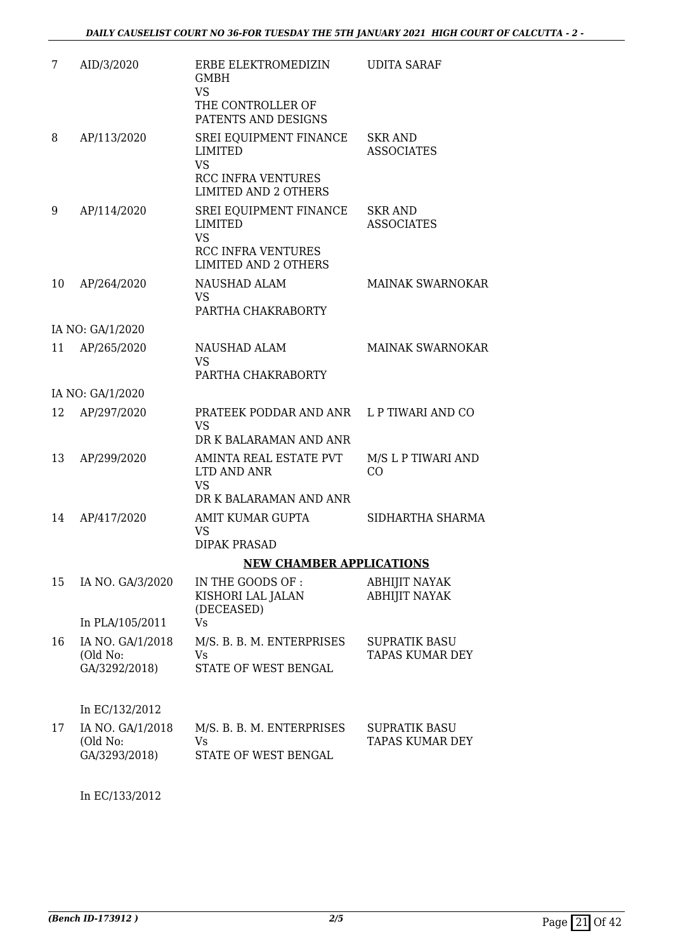| 7  | AID/3/2020                                    | ERBE ELEKTROMEDIZIN<br><b>GMBH</b><br><b>VS</b><br>THE CONTROLLER OF<br>PATENTS AND DESIGNS                       | <b>UDITA SARAF</b>                             |
|----|-----------------------------------------------|-------------------------------------------------------------------------------------------------------------------|------------------------------------------------|
| 8  | AP/113/2020                                   | SREI EQUIPMENT FINANCE<br>LIMITED<br><b>VS</b><br><b>RCC INFRA VENTURES</b><br><b>LIMITED AND 2 OTHERS</b>        | <b>SKR AND</b><br><b>ASSOCIATES</b>            |
| 9  | AP/114/2020                                   | SREI EQUIPMENT FINANCE<br><b>LIMITED</b><br><b>VS</b><br><b>RCC INFRA VENTURES</b><br><b>LIMITED AND 2 OTHERS</b> | <b>SKR AND</b><br><b>ASSOCIATES</b>            |
| 10 | AP/264/2020                                   | NAUSHAD ALAM<br><b>VS</b><br>PARTHA CHAKRABORTY                                                                   | <b>MAINAK SWARNOKAR</b>                        |
|    | IA NO: GA/1/2020                              |                                                                                                                   |                                                |
| 11 | AP/265/2020                                   | <b>NAUSHAD ALAM</b><br><b>VS</b><br>PARTHA CHAKRABORTY                                                            | <b>MAINAK SWARNOKAR</b>                        |
|    | IA NO: GA/1/2020                              |                                                                                                                   |                                                |
| 12 | AP/297/2020                                   | PRATEEK PODDAR AND ANR L P TIWARI AND CO<br><b>VS</b><br>DR K BALARAMAN AND ANR                                   |                                                |
| 13 | AP/299/2020                                   | AMINTA REAL ESTATE PVT<br>LTD AND ANR<br><b>VS</b><br>DR K BALARAMAN AND ANR                                      | M/S L P TIWARI AND<br>CO                       |
| 14 | AP/417/2020                                   | AMIT KUMAR GUPTA<br><b>VS</b><br><b>DIPAK PRASAD</b>                                                              | SIDHARTHA SHARMA                               |
|    |                                               | <b>NEW CHAMBER APPLICATIONS</b>                                                                                   |                                                |
| 15 | IA NO. GA/3/2020                              | IN THE GOODS OF :<br>KISHORI LAL JALAN<br>(DECEASED)                                                              | <b>ABHIJIT NAYAK</b><br><b>ABHIJIT NAYAK</b>   |
|    | In PLA/105/2011                               | <b>Vs</b>                                                                                                         |                                                |
| 16 | IA NO. GA/1/2018<br>(Old No:<br>GA/3292/2018) | M/S. B. B. M. ENTERPRISES<br>Vs<br>STATE OF WEST BENGAL                                                           | <b>SUPRATIK BASU</b><br><b>TAPAS KUMAR DEY</b> |
|    | In EC/132/2012                                |                                                                                                                   |                                                |
| 17 | IA NO. GA/1/2018<br>(Old No:<br>GA/3293/2018) | M/S. B. B. M. ENTERPRISES<br>Vs<br>STATE OF WEST BENGAL                                                           | <b>SUPRATIK BASU</b><br><b>TAPAS KUMAR DEY</b> |

In EC/133/2012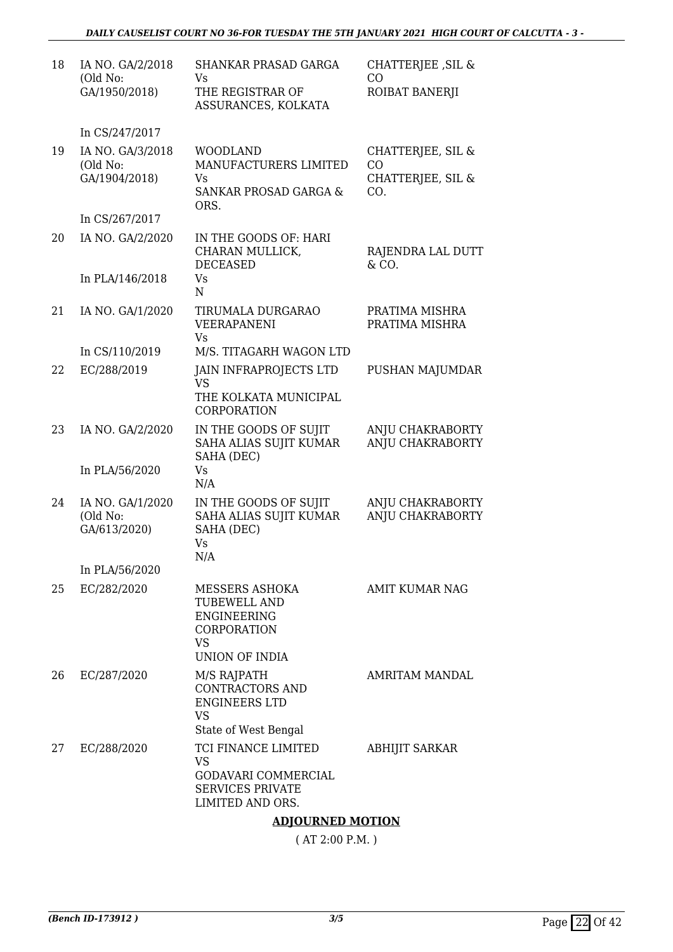| IA NO. GA/2/2018<br>(Old No:<br>GA/1950/2018) | SHANKAR PRASAD GARGA<br>Vs.<br>THE REGISTRAR OF<br>ASSURANCES, KOLKATA                                           | CHATTERJEE, SIL &<br>CO<br>ROIBAT BANERJI                                                                   |
|-----------------------------------------------|------------------------------------------------------------------------------------------------------------------|-------------------------------------------------------------------------------------------------------------|
| In CS/247/2017                                |                                                                                                                  |                                                                                                             |
| IA NO. GA/3/2018<br>(Old No:<br>GA/1904/2018) | <b>WOODLAND</b><br>MANUFACTURERS LIMITED<br>Vs<br>SANKAR PROSAD GARGA &<br>ORS.                                  | CHATTERJEE, SIL &<br>CO<br>CHATTERJEE, SIL &<br>CO.                                                         |
|                                               |                                                                                                                  |                                                                                                             |
| In PLA/146/2018                               | CHARAN MULLICK,<br>DECEASED<br>Vs                                                                                | RAJENDRA LAL DUTT<br>& CO.                                                                                  |
| IA NO. GA/1/2020                              | TIRUMALA DURGARAO<br>VEERAPANENI                                                                                 | PRATIMA MISHRA<br>PRATIMA MISHRA                                                                            |
| In CS/110/2019                                | M/S. TITAGARH WAGON LTD                                                                                          |                                                                                                             |
| EC/288/2019                                   | <b>JAIN INFRAPROJECTS LTD</b><br><b>VS</b><br>THE KOLKATA MUNICIPAL<br><b>CORPORATION</b>                        | PUSHAN MAJUMDAR                                                                                             |
| IA NO. GA/2/2020                              | IN THE GOODS OF SUJIT<br>SAHA ALIAS SUJIT KUMAR<br>SAHA (DEC)<br><b>Vs</b>                                       | ANJU CHAKRABORTY<br>ANJU CHAKRABORTY                                                                        |
|                                               | N/A                                                                                                              |                                                                                                             |
| IA NO. GA/1/2020<br>(Old No:<br>GA/613/2020)  | IN THE GOODS OF SUJIT<br>SAHA ALIAS SUJIT KUMAR<br>SAHA (DEC)<br>Vs                                              | ANJU CHAKRABORTY<br>ANJU CHAKRABORTY                                                                        |
| In PLA/56/2020                                |                                                                                                                  |                                                                                                             |
| EC/282/2020                                   | MESSERS ASHOKA<br><b>TUBEWELL AND</b><br>ENGINEERING<br><b>CORPORATION</b><br><b>VS</b><br><b>UNION OF INDIA</b> | <b>AMIT KUMAR NAG</b>                                                                                       |
| EC/287/2020                                   | M/S RAJPATH<br>CONTRACTORS AND<br><b>ENGINEERS LTD</b><br><b>VS</b>                                              | AMRITAM MANDAL                                                                                              |
| EC/288/2020                                   | TCI FINANCE LIMITED<br><b>VS</b><br>GODAVARI COMMERCIAL<br><b>SERVICES PRIVATE</b><br>LIMITED AND ORS.           | <b>ABHIJIT SARKAR</b>                                                                                       |
|                                               | In CS/267/2017<br>IA NO. GA/2/2020<br>In PLA/56/2020                                                             | IN THE GOODS OF: HARI<br>$\mathbf N$<br><b>Vs</b><br>N/A<br>State of West Bengal<br><b>ADJOURNED MOTION</b> |

( AT 2:00 P.M. )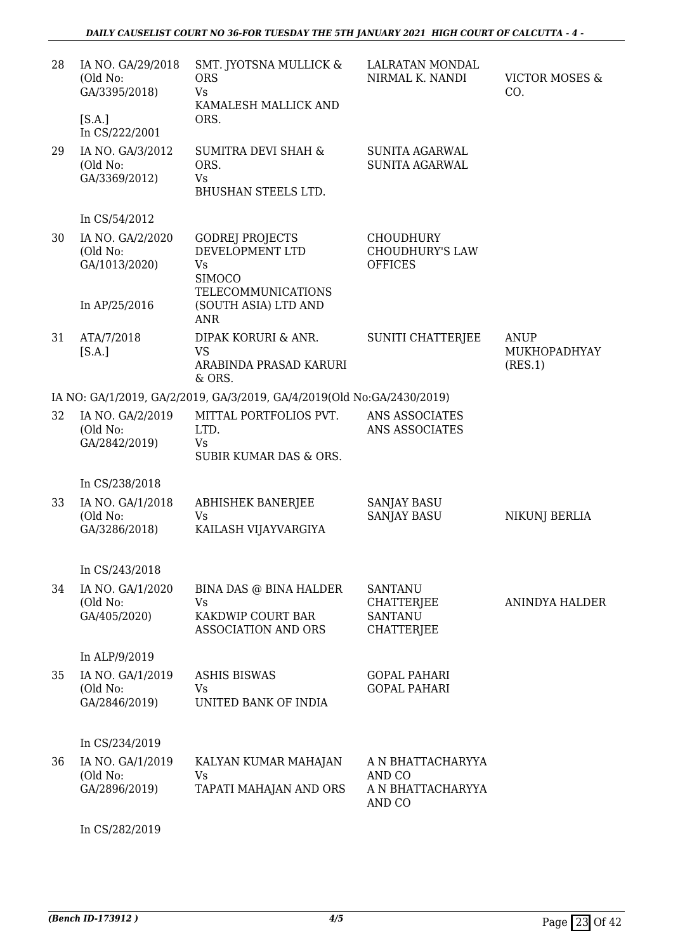| 28 | IA NO. GA/29/2018<br>(Old No:<br>GA/3395/2018)<br>[S.A.]<br>In CS/222/2001 | SMT. JYOTSNA MULLICK &<br><b>ORS</b><br><b>Vs</b><br>KAMALESH MALLICK AND<br>ORS.                    | LALRATAN MONDAL<br>NIRMAL K. NANDI                                         | <b>VICTOR MOSES &amp;</b><br>CO.       |
|----|----------------------------------------------------------------------------|------------------------------------------------------------------------------------------------------|----------------------------------------------------------------------------|----------------------------------------|
| 29 | IA NO. GA/3/2012<br>(Old No:<br>GA/3369/2012)                              | <b>SUMITRA DEVI SHAH &amp;</b><br>ORS.<br>Vs<br><b>BHUSHAN STEELS LTD.</b>                           | <b>SUNITA AGARWAL</b><br><b>SUNITA AGARWAL</b>                             |                                        |
|    | In CS/54/2012                                                              |                                                                                                      |                                                                            |                                        |
| 30 | IA NO. GA/2/2020<br>(Old No:<br>GA/1013/2020)                              | <b>GODREJ PROJECTS</b><br>DEVELOPMENT LTD<br><b>Vs</b><br><b>SIMOCO</b><br><b>TELECOMMUNICATIONS</b> | <b>CHOUDHURY</b><br><b>CHOUDHURY'S LAW</b><br><b>OFFICES</b>               |                                        |
|    | In AP/25/2016                                                              | (SOUTH ASIA) LTD AND<br><b>ANR</b>                                                                   |                                                                            |                                        |
| 31 | ATA/7/2018<br>[S.A.]                                                       | DIPAK KORURI & ANR.<br><b>VS</b><br>ARABINDA PRASAD KARURI<br>& ORS.                                 | <b>SUNITI CHATTERJEE</b>                                                   | <b>ANUP</b><br>MUKHOPADHYAY<br>(RES.1) |
|    |                                                                            | IA NO: GA/1/2019, GA/2/2019, GA/3/2019, GA/4/2019(Old No: GA/2430/2019)                              |                                                                            |                                        |
| 32 | IA NO. GA/2/2019<br>(Old No:<br>GA/2842/2019)                              | MITTAL PORTFOLIOS PVT.<br>LTD.<br>Vs<br><b>SUBIR KUMAR DAS &amp; ORS.</b>                            | ANS ASSOCIATES<br>ANS ASSOCIATES                                           |                                        |
|    | In CS/238/2018                                                             |                                                                                                      |                                                                            |                                        |
| 33 | IA NO. GA/1/2018<br>(Old No:<br>GA/3286/2018)                              | <b>ABHISHEK BANERJEE</b><br><b>Vs</b><br>KAILASH VIJAYVARGIYA                                        | <b>SANJAY BASU</b><br><b>SANJAY BASU</b>                                   | NIKUNJ BERLIA                          |
|    | In CS/243/2018                                                             |                                                                                                      |                                                                            |                                        |
| 34 | IA NO. GA/1/2020<br>(Old No:<br>GA/405/2020)                               | BINA DAS @ BINA HALDER<br><b>Vs</b><br>KAKDWIP COURT BAR<br><b>ASSOCIATION AND ORS</b>               | <b>SANTANU</b><br><b>CHATTERJEE</b><br><b>SANTANU</b><br><b>CHATTERJEE</b> | ANINDYA HALDER                         |
|    | In ALP/9/2019                                                              |                                                                                                      |                                                                            |                                        |
| 35 | IA NO. GA/1/2019<br>(Old No:<br>GA/2846/2019)                              | <b>ASHIS BISWAS</b><br>Vs<br>UNITED BANK OF INDIA                                                    | <b>GOPAL PAHARI</b><br><b>GOPAL PAHARI</b>                                 |                                        |
|    | In CS/234/2019                                                             |                                                                                                      |                                                                            |                                        |
| 36 | IA NO. GA/1/2019<br>(Old No:<br>GA/2896/2019)                              | KALYAN KUMAR MAHAJAN<br>Vs<br>TAPATI MAHAJAN AND ORS                                                 | A N BHATTACHARYYA<br>AND CO<br>A N BHATTACHARYYA<br>AND CO                 |                                        |

In CS/282/2019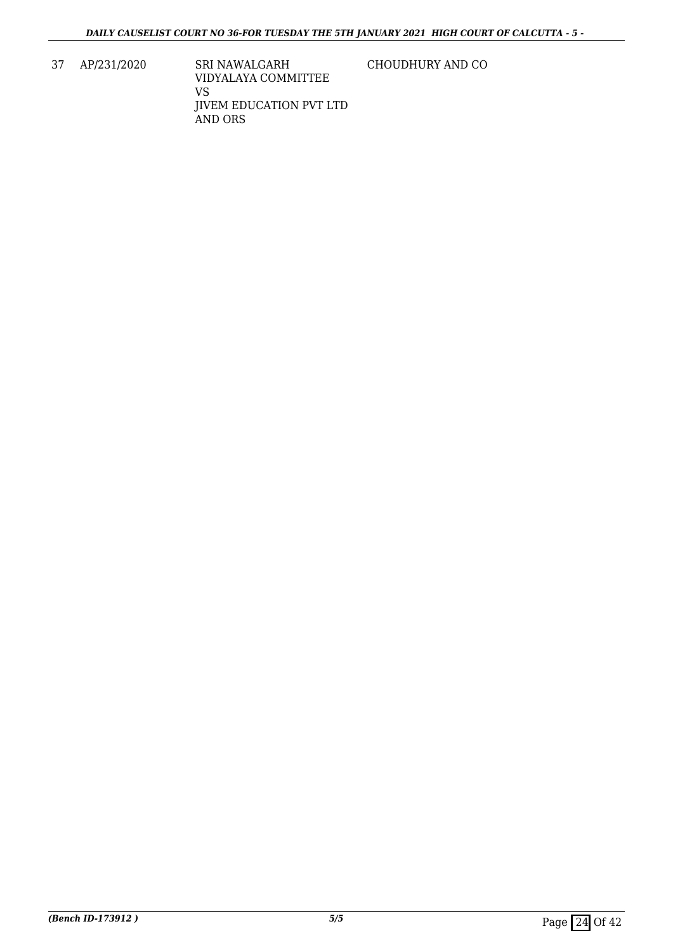37 AP/231/2020 SRI NAWALGARH VIDYALAYA COMMITTEE VS JIVEM EDUCATION PVT LTD AND ORS

CHOUDHURY AND CO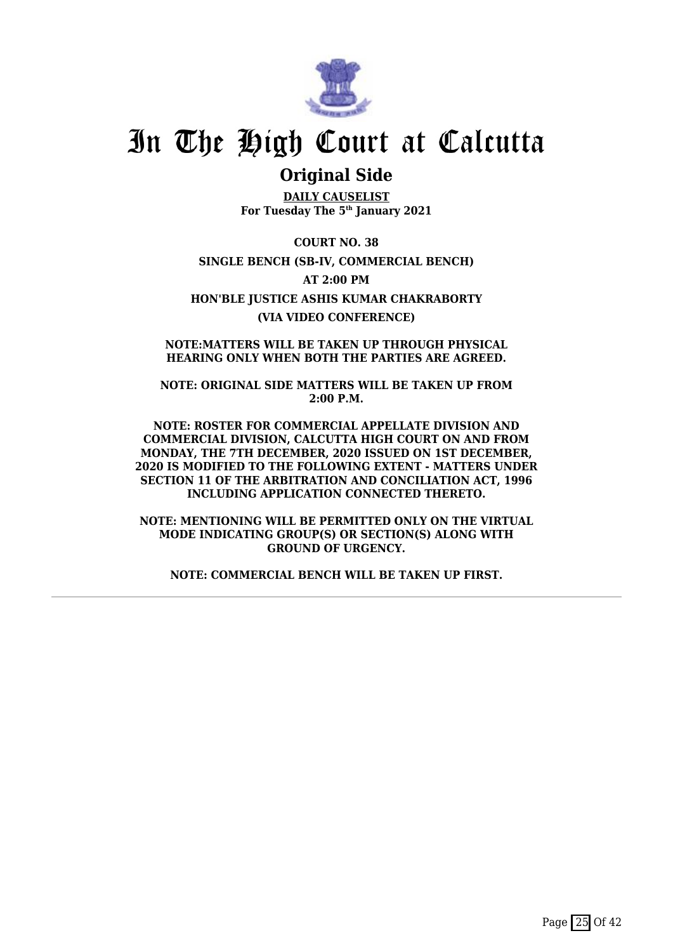

## **Original Side**

**DAILY CAUSELIST For Tuesday The 5th January 2021**

**COURT NO. 38 SINGLE BENCH (SB-IV, COMMERCIAL BENCH) AT 2:00 PM HON'BLE JUSTICE ASHIS KUMAR CHAKRABORTY (VIA VIDEO CONFERENCE)**

**NOTE:MATTERS WILL BE TAKEN UP THROUGH PHYSICAL HEARING ONLY WHEN BOTH THE PARTIES ARE AGREED.**

**NOTE: ORIGINAL SIDE MATTERS WILL BE TAKEN UP FROM 2:00 P.M.**

**NOTE: ROSTER FOR COMMERCIAL APPELLATE DIVISION AND COMMERCIAL DIVISION, CALCUTTA HIGH COURT ON AND FROM MONDAY, THE 7TH DECEMBER, 2020 ISSUED ON 1ST DECEMBER, 2020 IS MODIFIED TO THE FOLLOWING EXTENT - MATTERS UNDER SECTION 11 OF THE ARBITRATION AND CONCILIATION ACT, 1996 INCLUDING APPLICATION CONNECTED THERETO.**

**NOTE: MENTIONING WILL BE PERMITTED ONLY ON THE VIRTUAL MODE INDICATING GROUP(S) OR SECTION(S) ALONG WITH GROUND OF URGENCY.**

**NOTE: COMMERCIAL BENCH WILL BE TAKEN UP FIRST.**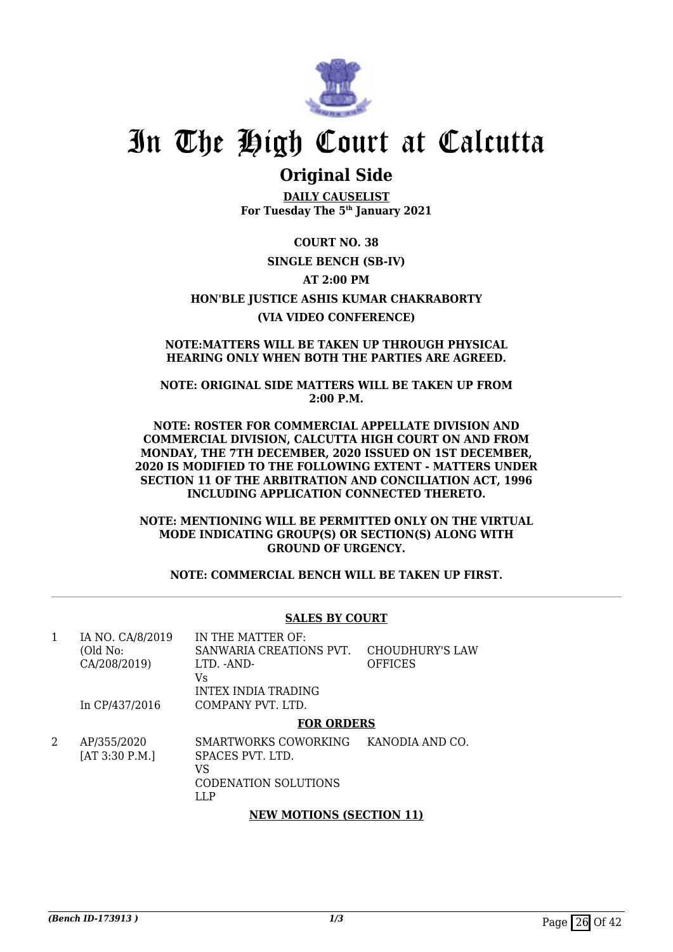

## **Original Side**

**DAILY CAUSELIST For Tuesday The 5th January 2021**

**COURT NO. 38 SINGLE BENCH (SB-IV) AT 2:00 PM HON'BLE JUSTICE ASHIS KUMAR CHAKRABORTY (VIA VIDEO CONFERENCE)**

### **NOTE:MATTERS WILL BE TAKEN UP THROUGH PHYSICAL HEARING ONLY WHEN BOTH THE PARTIES ARE AGREED.**

**NOTE: ORIGINAL SIDE MATTERS WILL BE TAKEN UP FROM 2:00 P.M.**

**NOTE: ROSTER FOR COMMERCIAL APPELLATE DIVISION AND COMMERCIAL DIVISION, CALCUTTA HIGH COURT ON AND FROM MONDAY, THE 7TH DECEMBER, 2020 ISSUED ON 1ST DECEMBER, 2020 IS MODIFIED TO THE FOLLOWING EXTENT - MATTERS UNDER SECTION 11 OF THE ARBITRATION AND CONCILIATION ACT, 1996 INCLUDING APPLICATION CONNECTED THERETO.**

**NOTE: MENTIONING WILL BE PERMITTED ONLY ON THE VIRTUAL MODE INDICATING GROUP(S) OR SECTION(S) ALONG WITH GROUND OF URGENCY.**

**NOTE: COMMERCIAL BENCH WILL BE TAKEN UP FIRST.**

## **SALES BY COURT**

|                  | <b>FOR ORDERS</b>       |                 |
|------------------|-------------------------|-----------------|
| In CP/437/2016   | COMPANY PVT. LTD.       |                 |
|                  | INTEX INDIA TRADING     |                 |
|                  | Vs                      |                 |
| CA/208/2019)     | LTD. -AND-              | <b>OFFICES</b>  |
| (Old No:         | SANWARIA CREATIONS PVT. | CHOUDHURY'S LAW |
| IA NO. CA/8/2019 | IN THE MATTER OF:       |                 |

2 AP/355/2020 [AT 3:30 P.M.] SMARTWORKS COWORKING KANODIA AND CO. SPACES PVT. LTD. VS CODENATION SOLUTIONS LLP

### **NEW MOTIONS (SECTION 11)**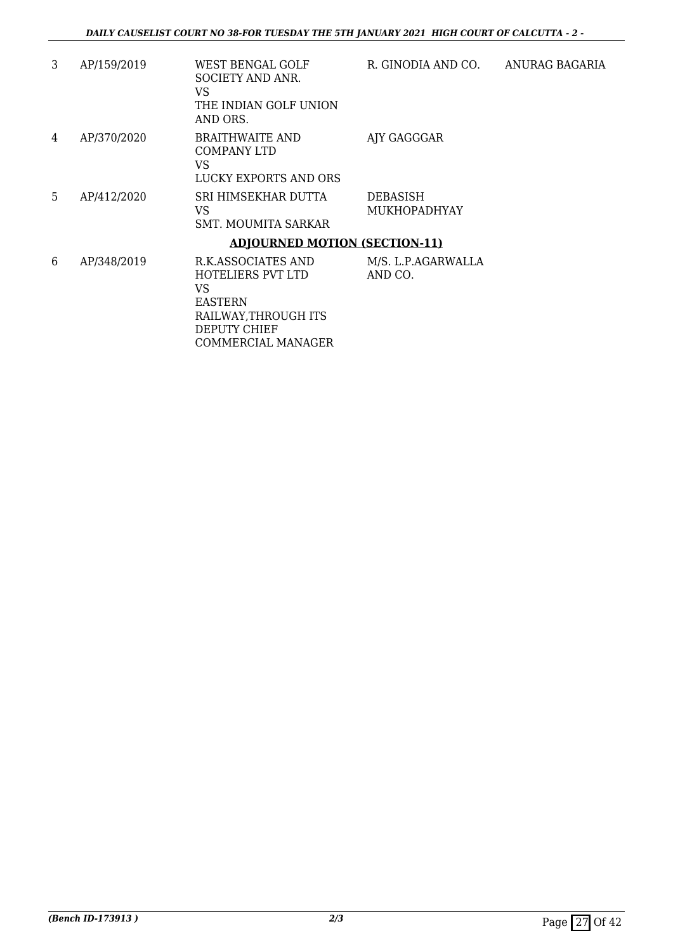| 3  | AP/159/2019 | WEST BENGAL GOLF<br><b>SOCIETY AND ANR.</b><br>VS<br>THE INDIAN GOLF UNION<br>AND ORS.                  | R. GINODIA AND CO.                     | ANURAG BAGARIA |
|----|-------------|---------------------------------------------------------------------------------------------------------|----------------------------------------|----------------|
| 4  | AP/370/2020 | <b>BRAITHWAITE AND</b><br>COMPANY LTD<br>VS<br>LUCKY EXPORTS AND ORS                                    | AJY GAGGGAR                            |                |
| 5. | AP/412/2020 | SRI HIMSEKHAR DUTTA<br>VS<br>SMT. MOUMITA SARKAR                                                        | <b>DEBASISH</b><br><b>MUKHOPADHYAY</b> |                |
|    |             | <b>ADJOURNED MOTION (SECTION-11)</b>                                                                    |                                        |                |
| 6  | AP/348/2019 | R.K.ASSOCIATES AND<br>HOTELIERS PVT LTD<br>VS<br><b>EASTERN</b><br>RAILWAY, THROUGH ITS<br>DEPUTY CHIEF | M/S. L.P.AGARWALLA<br>AND CO.          |                |

COMMERCIAL MANAGER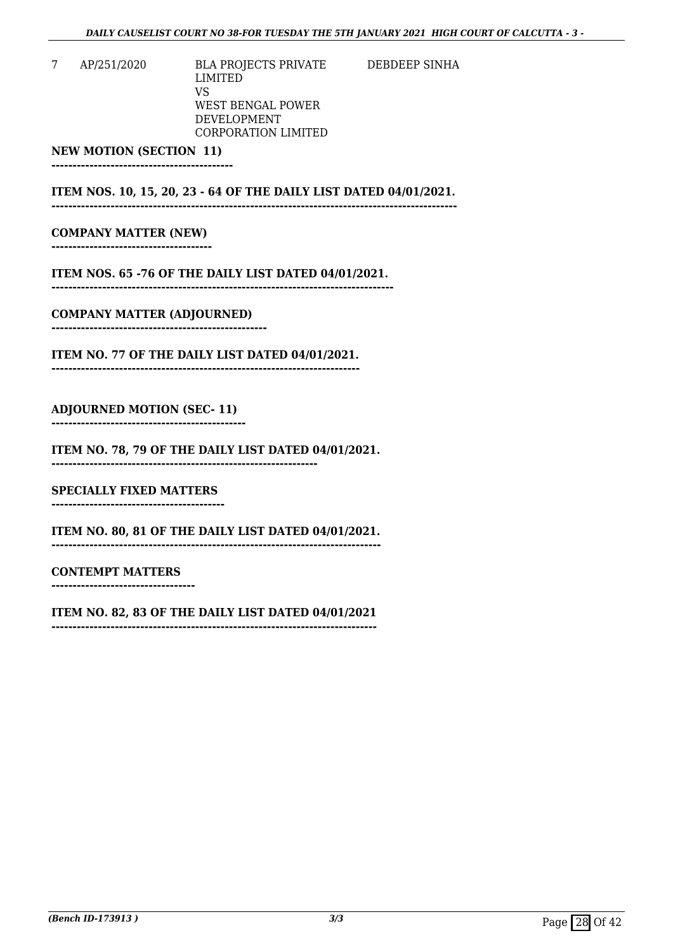DEBDEEP SINHA

7 AP/251/2020 BLA PROJECTS PRIVATE LIMITED VS WEST BENGAL POWER DEVELOPMENT CORPORATION LIMITED

**NEW MOTION (SECTION 11)**

**-------------------------------------------** 

**ITEM NOS. 10, 15, 20, 23 - 64 OF THE DAILY LIST DATED 04/01/2021. ------------------------------------------------------------------------------------------------** 

#### **COMPANY MATTER (NEW) --------------------------------------**

**ITEM NOS. 65 -76 OF THE DAILY LIST DATED 04/01/2021. ---------------------------------------------------------------------------------**

**COMPANY MATTER (ADJOURNED) ---------------------------------------------------** 

**ITEM NO. 77 OF THE DAILY LIST DATED 04/01/2021. -------------------------------------------------------------------------**

### **ADJOURNED MOTION (SEC- 11)**

**----------------------------------------------**

**ITEM NO. 78, 79 OF THE DAILY LIST DATED 04/01/2021. ---------------------------------------------------------------**

**SPECIALLY FIXED MATTERS**

**-----------------------------------------**

**ITEM NO. 80, 81 OF THE DAILY LIST DATED 04/01/2021. ------------------------------------------------------------------------------**

### **CONTEMPT MATTERS**

**----------------------------------**

### **ITEM NO. 82, 83 OF THE DAILY LIST DATED 04/01/2021**

**-----------------------------------------------------------------------------**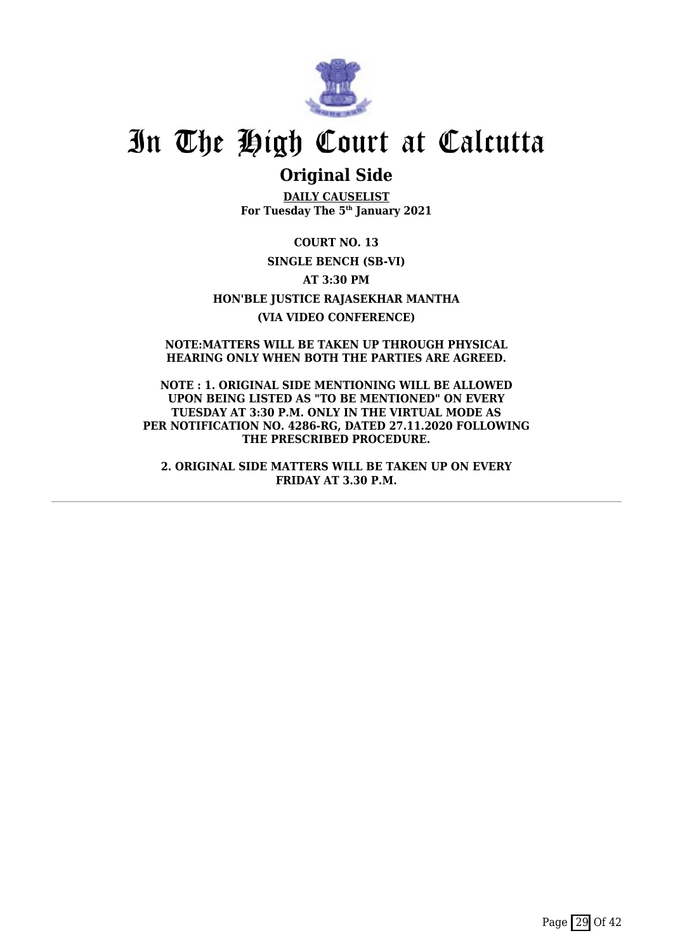

## **Original Side**

**DAILY CAUSELIST For Tuesday The 5th January 2021**

**COURT NO. 13 SINGLE BENCH (SB-VI) AT 3:30 PM HON'BLE JUSTICE RAJASEKHAR MANTHA (VIA VIDEO CONFERENCE)**

**NOTE:MATTERS WILL BE TAKEN UP THROUGH PHYSICAL HEARING ONLY WHEN BOTH THE PARTIES ARE AGREED.**

**NOTE : 1. ORIGINAL SIDE MENTIONING WILL BE ALLOWED UPON BEING LISTED AS "TO BE MENTIONED" ON EVERY TUESDAY AT 3:30 P.M. ONLY IN THE VIRTUAL MODE AS PER NOTIFICATION NO. 4286-RG, DATED 27.11.2020 FOLLOWING THE PRESCRIBED PROCEDURE.**

**2. ORIGINAL SIDE MATTERS WILL BE TAKEN UP ON EVERY FRIDAY AT 3.30 P.M.**

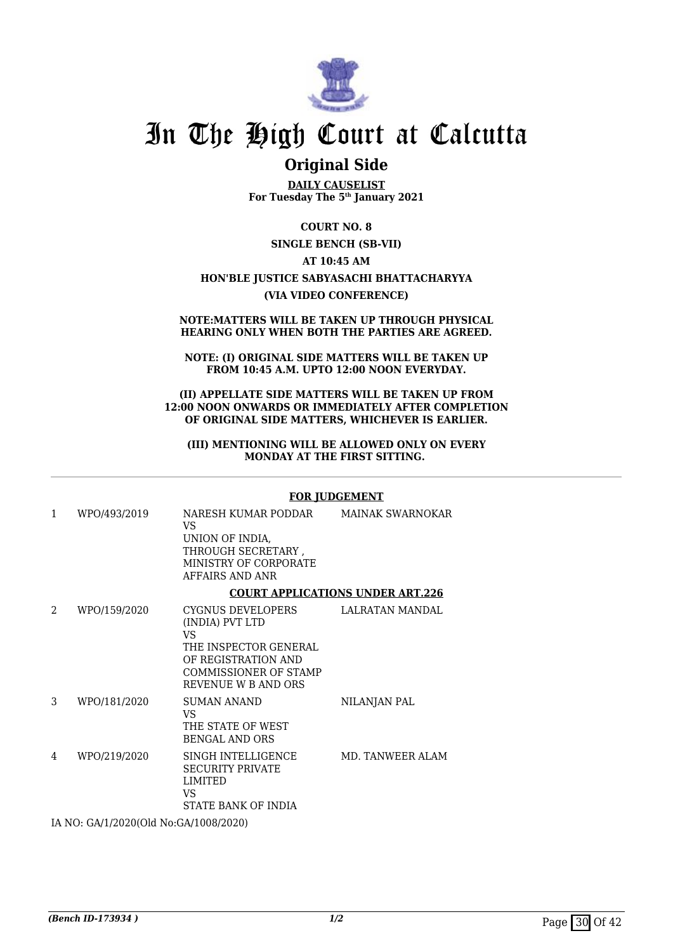

## **Original Side**

**DAILY CAUSELIST For Tuesday The 5th January 2021**

**COURT NO. 8**

**SINGLE BENCH (SB-VII)**

### **AT 10:45 AM**

### **HON'BLE JUSTICE SABYASACHI BHATTACHARYYA (VIA VIDEO CONFERENCE)**

#### **NOTE:MATTERS WILL BE TAKEN UP THROUGH PHYSICAL HEARING ONLY WHEN BOTH THE PARTIES ARE AGREED.**

#### **NOTE: (I) ORIGINAL SIDE MATTERS WILL BE TAKEN UP FROM 10:45 A.M. UPTO 12:00 NOON EVERYDAY.**

#### **(II) APPELLATE SIDE MATTERS WILL BE TAKEN UP FROM 12:00 NOON ONWARDS OR IMMEDIATELY AFTER COMPLETION OF ORIGINAL SIDE MATTERS, WHICHEVER IS EARLIER.**

#### **(III) MENTIONING WILL BE ALLOWED ONLY ON EVERY MONDAY AT THE FIRST SITTING.**

#### **FOR JUDGEMENT**

| 1                                     | WPO/493/2019 | NARESH KUMAR PODDAR<br>VS.<br>UNION OF INDIA,<br>THROUGH SECRETARY,<br>MINISTRY OF CORPORATE<br>AFFAIRS AND ANR                                    | MAINAK SWARNOKAR |  |
|---------------------------------------|--------------|----------------------------------------------------------------------------------------------------------------------------------------------------|------------------|--|
|                                       |              | <b>COURT APPLICATIONS UNDER ART.226</b>                                                                                                            |                  |  |
| $\mathcal{D}_{\cdot}$                 | WPO/159/2020 | CYGNUS DEVELOPERS<br>(INDIA) PVT LTD<br>VS.<br>THE INSPECTOR GENERAL<br>OF REGISTRATION AND<br><b>COMMISSIONER OF STAMP</b><br>REVENUE W B AND ORS | LALRATAN MANDAL  |  |
| 3                                     | WPO/181/2020 | <b>SUMAN ANAND</b><br>VS<br>THE STATE OF WEST<br><b>BENGAL AND ORS</b>                                                                             | NILANJAN PAL     |  |
| 4                                     | WPO/219/2020 | SINGH INTELLIGENCE<br><b>SECURITY PRIVATE</b><br><b>LIMITED</b><br>VS.<br>STATE BANK OF INDIA                                                      | MD. TANWEER ALAM |  |
| IA NO: GA/1/2020(Old No:GA/1008/2020) |              |                                                                                                                                                    |                  |  |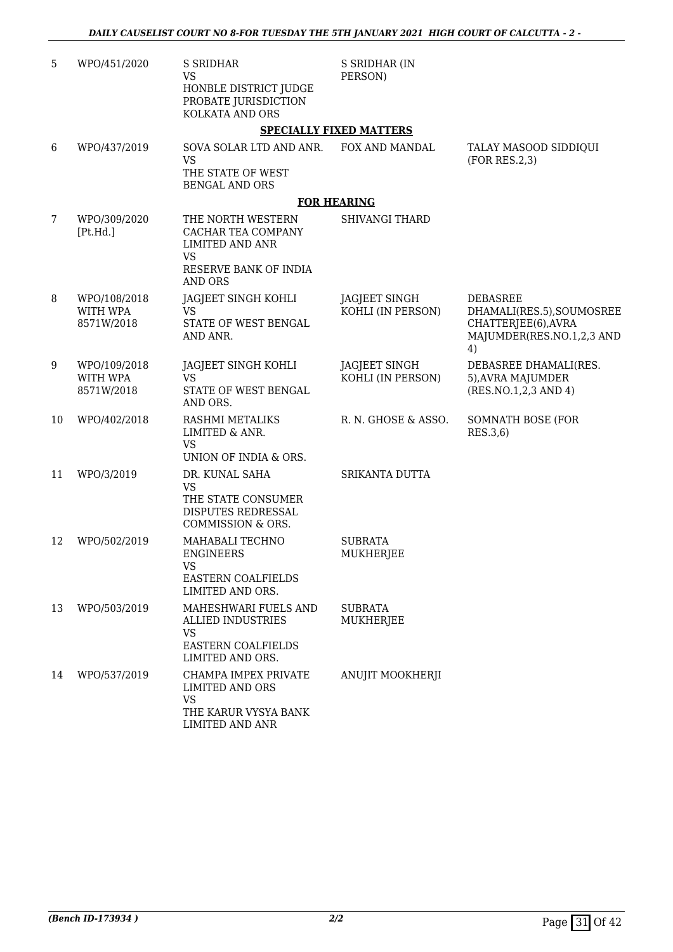| 5  | WPO/451/2020                           | <b>S SRIDHAR</b><br><b>VS</b><br>HONBLE DISTRICT JUDGE<br>PROBATE JURISDICTION<br>KOLKATA AND ORS                  | S SRIDHAR (IN<br>PERSON)                  |                                                                                                        |
|----|----------------------------------------|--------------------------------------------------------------------------------------------------------------------|-------------------------------------------|--------------------------------------------------------------------------------------------------------|
|    |                                        |                                                                                                                    | <b>SPECIALLY FIXED MATTERS</b>            |                                                                                                        |
| 6  | WPO/437/2019                           | SOVA SOLAR LTD AND ANR.<br><b>VS</b><br>THE STATE OF WEST<br><b>BENGAL AND ORS</b>                                 | FOX AND MANDAL                            | TALAY MASOOD SIDDIQUI<br>(FOR RES.2,3)                                                                 |
|    |                                        |                                                                                                                    | <b>FOR HEARING</b>                        |                                                                                                        |
| 7  | WPO/309/2020<br>[Pt.Hd.]               | THE NORTH WESTERN<br>CACHAR TEA COMPANY<br>LIMITED AND ANR<br><b>VS</b><br>RESERVE BANK OF INDIA<br><b>AND ORS</b> | <b>SHIVANGI THARD</b>                     |                                                                                                        |
| 8  | WPO/108/2018<br>WITH WPA<br>8571W/2018 | JAGJEET SINGH KOHLI<br>VS<br>STATE OF WEST BENGAL<br>AND ANR.                                                      | JAGJEET SINGH<br>KOHLI (IN PERSON)        | <b>DEBASREE</b><br>DHAMALI(RES.5), SOUMOSREE<br>CHATTERJEE(6), AVRA<br>MAJUMDER(RES.NO.1,2,3 AND<br>4) |
| 9  | WPO/109/2018<br>WITH WPA<br>8571W/2018 | JAGJEET SINGH KOHLI<br><b>VS</b><br>STATE OF WEST BENGAL<br>AND ORS.                                               | <b>JAGJEET SINGH</b><br>KOHLI (IN PERSON) | DEBASREE DHAMALI(RES.<br>5), AVRA MAJUMDER<br>(RES.NO.1,2,3 AND 4)                                     |
| 10 | WPO/402/2018                           | RASHMI METALIKS<br>LIMITED & ANR.<br><b>VS</b><br>UNION OF INDIA & ORS.                                            | R. N. GHOSE & ASSO.                       | <b>SOMNATH BOSE (FOR</b><br>RES.3,6)                                                                   |
| 11 | WPO/3/2019                             | DR. KUNAL SAHA<br><b>VS</b><br>THE STATE CONSUMER<br>DISPUTES REDRESSAL<br>COMMISSION & ORS.                       | SRIKANTA DUTTA                            |                                                                                                        |
| 12 | WPO/502/2019                           | MAHABALI TECHNO<br><b>ENGINEERS</b><br>VS<br><b>EASTERN COALFIELDS</b><br>LIMITED AND ORS.                         | <b>SUBRATA</b><br>MUKHERJEE               |                                                                                                        |
| 13 | WPO/503/2019                           | MAHESHWARI FUELS AND<br><b>ALLIED INDUSTRIES</b><br>VS<br><b>EASTERN COALFIELDS</b><br>LIMITED AND ORS.            | <b>SUBRATA</b><br>MUKHERJEE               |                                                                                                        |
| 14 | WPO/537/2019                           | CHAMPA IMPEX PRIVATE<br>LIMITED AND ORS<br><b>VS</b><br>THE KARUR VYSYA BANK<br>LIMITED AND ANR                    | ANUJIT MOOKHERJI                          |                                                                                                        |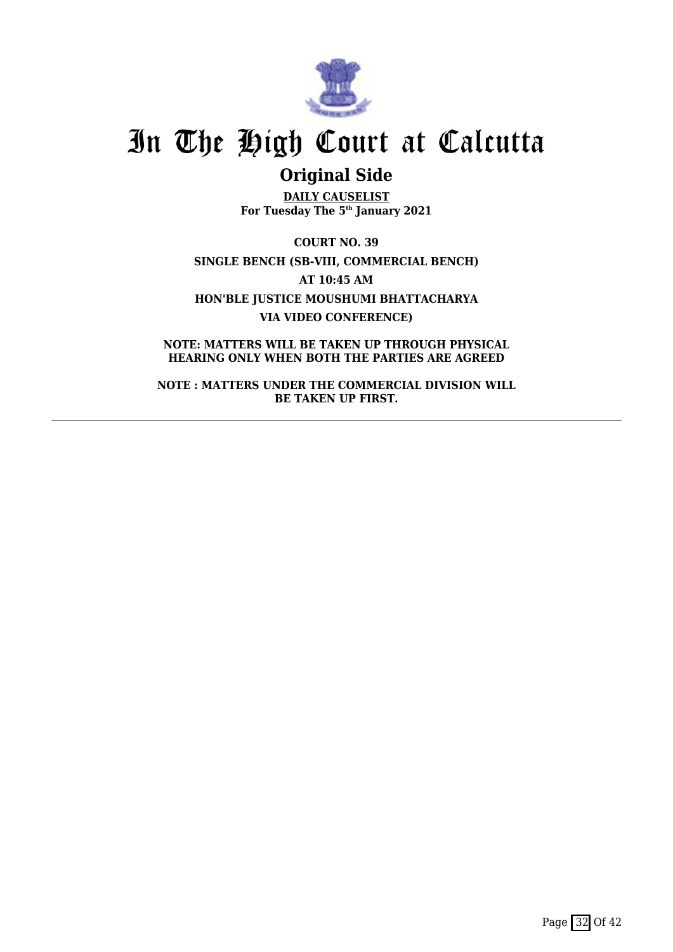

## **Original Side**

**DAILY CAUSELIST For Tuesday The 5th January 2021**

**COURT NO. 39 SINGLE BENCH (SB-VIII, COMMERCIAL BENCH) AT 10:45 AM HON'BLE JUSTICE MOUSHUMI BHATTACHARYA VIA VIDEO CONFERENCE)**

**NOTE: MATTERS WILL BE TAKEN UP THROUGH PHYSICAL HEARING ONLY WHEN BOTH THE PARTIES ARE AGREED**

**NOTE : MATTERS UNDER THE COMMERCIAL DIVISION WILL BE TAKEN UP FIRST.**

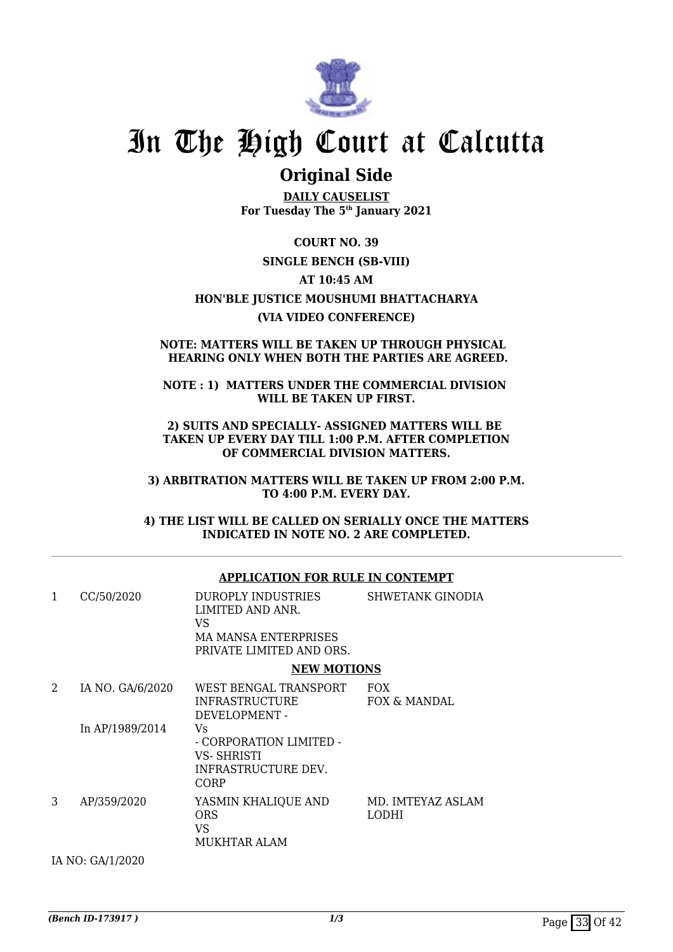

## **Original Side**

**DAILY CAUSELIST For Tuesday The 5th January 2021**

**COURT NO. 39 SINGLE BENCH (SB-VIII) AT 10:45 AM HON'BLE JUSTICE MOUSHUMI BHATTACHARYA (VIA VIDEO CONFERENCE)**

### **NOTE: MATTERS WILL BE TAKEN UP THROUGH PHYSICAL HEARING ONLY WHEN BOTH THE PARTIES ARE AGREED.**

**NOTE : 1) MATTERS UNDER THE COMMERCIAL DIVISION WILL BE TAKEN UP FIRST.**

**2) SUITS AND SPECIALLY- ASSIGNED MATTERS WILL BE TAKEN UP EVERY DAY TILL 1:00 P.M. AFTER COMPLETION OF COMMERCIAL DIVISION MATTERS.**

**3) ARBITRATION MATTERS WILL BE TAKEN UP FROM 2:00 P.M. TO 4:00 P.M. EVERY DAY.**

**4) THE LIST WILL BE CALLED ON SERIALLY ONCE THE MATTERS INDICATED IN NOTE NO. 2 ARE COMPLETED.**

|   |                  | AFFLICATION FOR ROLL IN CONTEMPT                                                                         |                            |
|---|------------------|----------------------------------------------------------------------------------------------------------|----------------------------|
| 1 | CC/50/2020       | DUROPLY INDUSTRIES<br>LIMITED AND ANR.<br>VS.<br><b>MA MANSA ENTERPRISES</b><br>PRIVATE LIMITED AND ORS. | <b>SHWETANK GINODIA</b>    |
|   |                  | <b>NEW MOTIONS</b>                                                                                       |                            |
| 2 | IA NO. GA/6/2020 | WEST BENGAL TRANSPORT<br><b>INFRASTRUCTURE</b><br>DEVELOPMENT -                                          | <b>FOX</b><br>FOX & MANDAL |
|   | In AP/1989/2014  | Vs.<br>- CORPORATION LIMITED -<br>VS- SHRISTI<br>INFRASTRUCTURE DEV.<br>CORP                             |                            |
| 3 | AP/359/2020      | YASMIN KHALIQUE AND<br><b>ORS</b><br>VS<br>MUKHTAR ALAM                                                  | MD. IMTEYAZ ASLAM<br>LODHI |
|   | IA NO: GA/1/2020 |                                                                                                          |                            |

**APPLICATION FOR RULE IN CONTEMPT**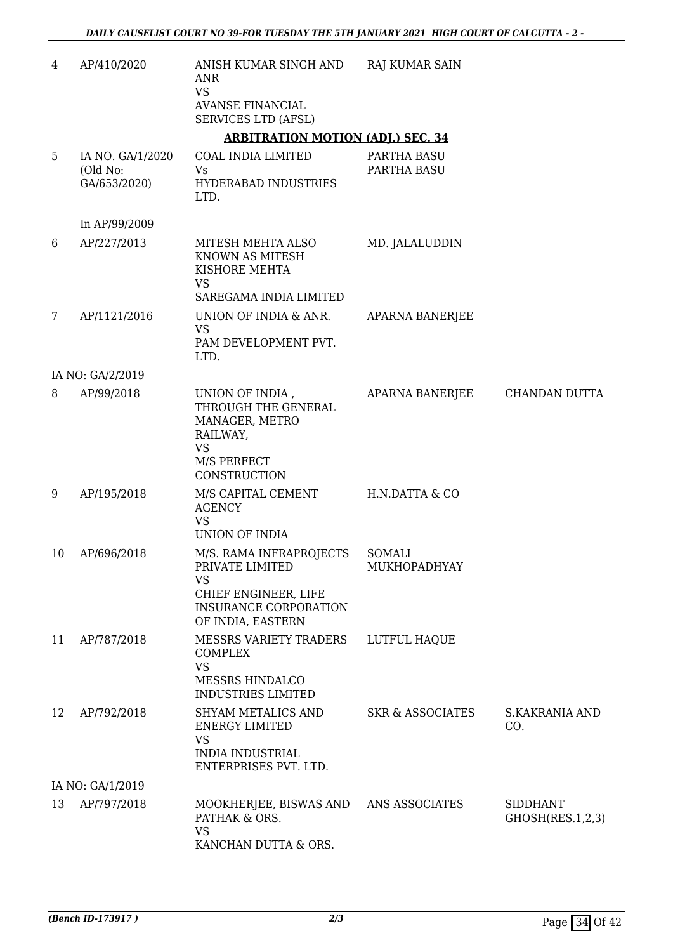| $\overline{4}$ | AP/410/2020                                  | ANISH KUMAR SINGH AND<br>ANR<br><b>VS</b><br><b>AVANSE FINANCIAL</b><br><b>SERVICES LTD (AFSL)</b>                                                     | <b>RAJ KUMAR SAIN</b>       |                                     |
|----------------|----------------------------------------------|--------------------------------------------------------------------------------------------------------------------------------------------------------|-----------------------------|-------------------------------------|
|                |                                              | <b>ARBITRATION MOTION (ADJ.) SEC. 34</b>                                                                                                               |                             |                                     |
| 5              | IA NO. GA/1/2020<br>(Old No:<br>GA/653/2020) | COAL INDIA LIMITED<br>Vs<br>HYDERABAD INDUSTRIES<br>LTD.                                                                                               | PARTHA BASU<br>PARTHA BASU  |                                     |
|                | In AP/99/2009                                |                                                                                                                                                        |                             |                                     |
| 6              | AP/227/2013                                  | MITESH MEHTA ALSO<br>KNOWN AS MITESH<br>KISHORE MEHTA<br><b>VS</b><br>SAREGAMA INDIA LIMITED                                                           | MD. JALALUDDIN              |                                     |
| 7              | AP/1121/2016                                 | UNION OF INDIA & ANR.<br><b>VS</b><br>PAM DEVELOPMENT PVT.<br>LTD.                                                                                     | <b>APARNA BANERJEE</b>      |                                     |
|                | IA NO: GA/2/2019                             |                                                                                                                                                        |                             |                                     |
| 8              | AP/99/2018                                   | UNION OF INDIA,<br>THROUGH THE GENERAL<br>MANAGER, METRO<br>RAILWAY,<br><b>VS</b><br>M/S PERFECT<br>CONSTRUCTION                                       | APARNA BANERJEE             | CHANDAN DUTTA                       |
| 9              | AP/195/2018                                  | M/S CAPITAL CEMENT<br><b>AGENCY</b><br><b>VS</b>                                                                                                       | H.N.DATTA & CO              |                                     |
| 10             | AP/696/2018                                  | UNION OF INDIA<br>M/S. RAMA INFRAPROJECTS<br>PRIVATE LIMITED<br><b>VS</b><br>CHIEF ENGINEER, LIFE<br><b>INSURANCE CORPORATION</b><br>OF INDIA, EASTERN | SOMALI<br>MUKHOPADHYAY      |                                     |
| 11             | AP/787/2018                                  | <b>MESSRS VARIETY TRADERS</b><br><b>COMPLEX</b><br><b>VS</b><br>MESSRS HINDALCO<br><b>INDUSTRIES LIMITED</b>                                           | LUTFUL HAQUE                |                                     |
| 12             | AP/792/2018                                  | <b>SHYAM METALICS AND</b><br><b>ENERGY LIMITED</b><br><b>VS</b><br><b>INDIA INDUSTRIAL</b><br>ENTERPRISES PVT. LTD.                                    | <b>SKR &amp; ASSOCIATES</b> | <b>S.KAKRANIA AND</b><br>CO.        |
|                | IA NO: GA/1/2019                             |                                                                                                                                                        |                             |                                     |
| 13             | AP/797/2018                                  | MOOKHERJEE, BISWAS AND<br>PATHAK & ORS.<br><b>VS</b><br>KANCHAN DUTTA & ORS.                                                                           | ANS ASSOCIATES              | <b>SIDDHANT</b><br>GHOSH(RES.1,2,3) |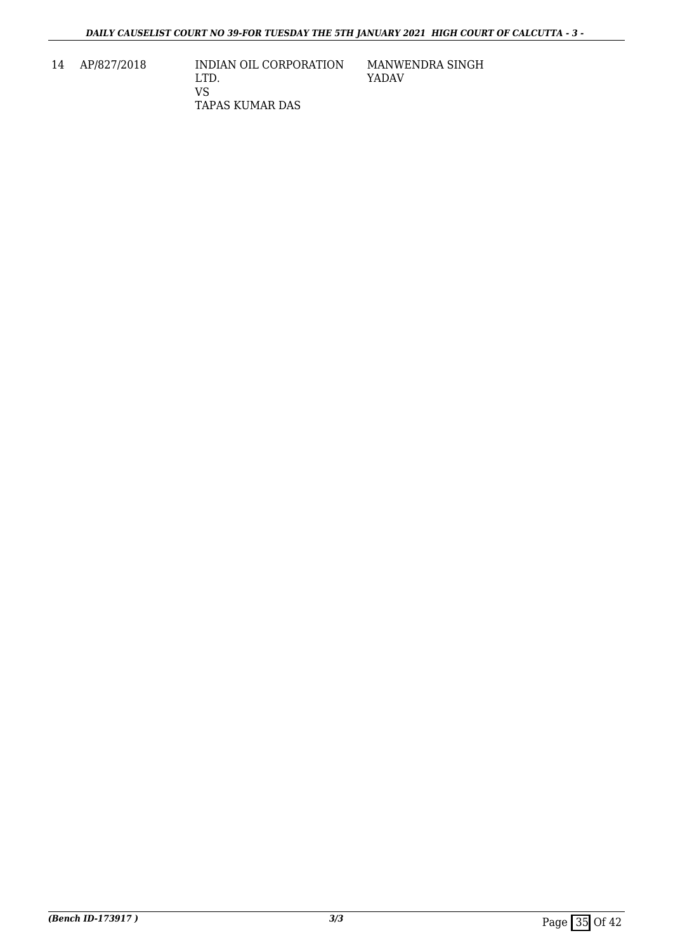14 AP/827/2018 INDIAN OIL CORPORATION LTD. VS TAPAS KUMAR DAS

MANWENDRA SINGH YADAV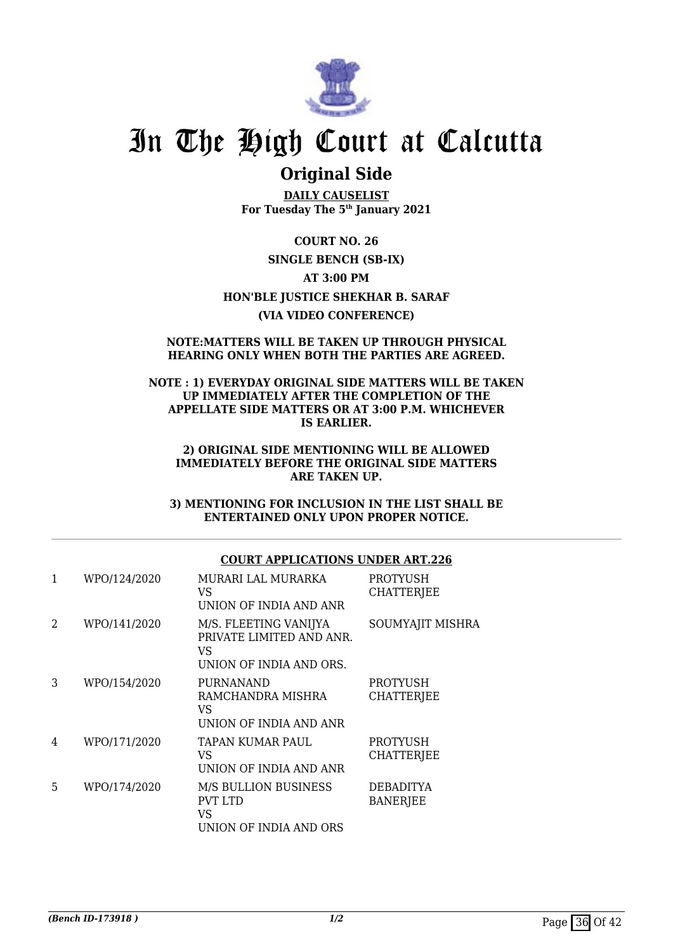

## **Original Side**

**DAILY CAUSELIST For Tuesday The 5th January 2021**

**COURT NO. 26 SINGLE BENCH (SB-IX) AT 3:00 PM HON'BLE JUSTICE SHEKHAR B. SARAF (VIA VIDEO CONFERENCE)**

#### **NOTE:MATTERS WILL BE TAKEN UP THROUGH PHYSICAL HEARING ONLY WHEN BOTH THE PARTIES ARE AGREED.**

### **NOTE : 1) EVERYDAY ORIGINAL SIDE MATTERS WILL BE TAKEN UP IMMEDIATELY AFTER THE COMPLETION OF THE APPELLATE SIDE MATTERS OR AT 3:00 P.M. WHICHEVER IS EARLIER.**

#### **2) ORIGINAL SIDE MENTIONING WILL BE ALLOWED IMMEDIATELY BEFORE THE ORIGINAL SIDE MATTERS ARE TAKEN UP.**

**3) MENTIONING FOR INCLUSION IN THE LIST SHALL BE ENTERTAINED ONLY UPON PROPER NOTICE.**

## **COURT APPLICATIONS UNDER ART.226**

| 1                           | WPO/124/2020 | MURARI LAL MURARKA<br>VS<br>UNION OF INDIA AND ANR                                 | PROTYUSH<br><b>CHATTERJEE</b>        |
|-----------------------------|--------------|------------------------------------------------------------------------------------|--------------------------------------|
| $\mathcal{D}_{\mathcal{L}}$ | WPO/141/2020 | M/S. FLEETING VANIJYA<br>PRIVATE LIMITED AND ANR.<br>VS<br>UNION OF INDIA AND ORS. | <b>SOUMYAJIT MISHRA</b>              |
| 3                           | WPO/154/2020 | <b>PURNANAND</b><br>RAMCHANDRA MISHRA<br>VS<br>UNION OF INDIA AND ANR              | <b>PROTYUSH</b><br><b>CHATTERJEE</b> |
| 4                           | WPO/171/2020 | TAPAN KUMAR PAUL<br>VS.<br>UNION OF INDIA AND ANR                                  | <b>PROTYUSH</b><br><b>CHATTERJEE</b> |
| 5                           | WPO/174/2020 | <b>M/S BULLION BUSINESS</b><br><b>PVT LTD</b><br>VS<br>UNION OF INDIA AND ORS      | <b>DEBADITYA</b><br><b>BANERJEE</b>  |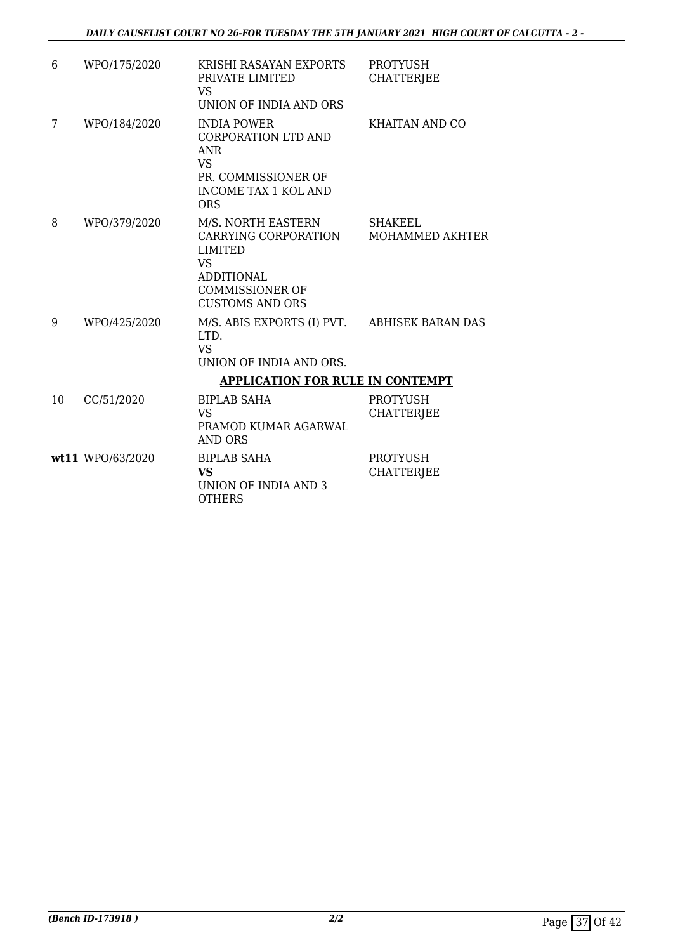| 6  | WPO/175/2020     | KRISHI RASAYAN EXPORTS<br>PRIVATE LIMITED<br>VS<br>UNION OF INDIA AND ORS                                                                          | <b>PROTYUSH</b><br><b>CHATTERJEE</b>     |
|----|------------------|----------------------------------------------------------------------------------------------------------------------------------------------------|------------------------------------------|
| 7  | WPO/184/2020     | <b>INDIA POWER</b><br><b>CORPORATION LTD AND</b><br><b>ANR</b><br><b>VS</b><br>PR. COMMISSIONER OF<br><b>INCOME TAX 1 KOL AND</b><br><b>ORS</b>    | KHAITAN AND CO                           |
| 8  | WPO/379/2020     | M/S. NORTH EASTERN<br>CARRYING CORPORATION<br><b>LIMITED</b><br><b>VS</b><br><b>ADDITIONAL</b><br><b>COMMISSIONER OF</b><br><b>CUSTOMS AND ORS</b> | <b>SHAKEEL</b><br><b>MOHAMMED AKHTER</b> |
| 9  | WPO/425/2020     | M/S. ABIS EXPORTS (I) PVT. ABHISEK BARAN DAS<br>LTD.<br><b>VS</b><br>UNION OF INDIA AND ORS.                                                       |                                          |
|    |                  | <b>APPLICATION FOR RULE IN CONTEMPT</b>                                                                                                            |                                          |
| 10 | CC/51/2020       | BIPLAB SAHA<br><b>VS</b><br>PRAMOD KUMAR AGARWAL<br>AND ORS                                                                                        | <b>PROTYUSH</b><br><b>CHATTERJEE</b>     |
|    | wt11 WPO/63/2020 | <b>BIPLAB SAHA</b><br><b>VS</b><br>UNION OF INDIA AND 3<br>OTHERS                                                                                  | <b>PROTYUSH</b><br><b>CHATTERJEE</b>     |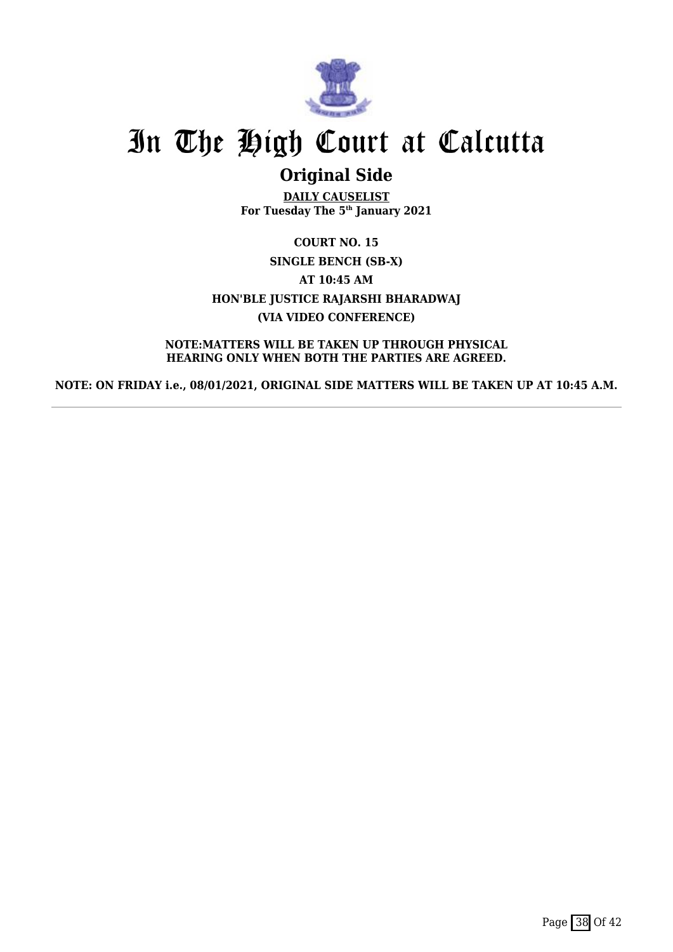

## **Original Side**

**DAILY CAUSELIST For Tuesday The 5th January 2021**

**COURT NO. 15 SINGLE BENCH (SB-X) AT 10:45 AM HON'BLE JUSTICE RAJARSHI BHARADWAJ (VIA VIDEO CONFERENCE)**

**NOTE:MATTERS WILL BE TAKEN UP THROUGH PHYSICAL HEARING ONLY WHEN BOTH THE PARTIES ARE AGREED.**

**NOTE: ON FRIDAY i.e., 08/01/2021, ORIGINAL SIDE MATTERS WILL BE TAKEN UP AT 10:45 A.M.**

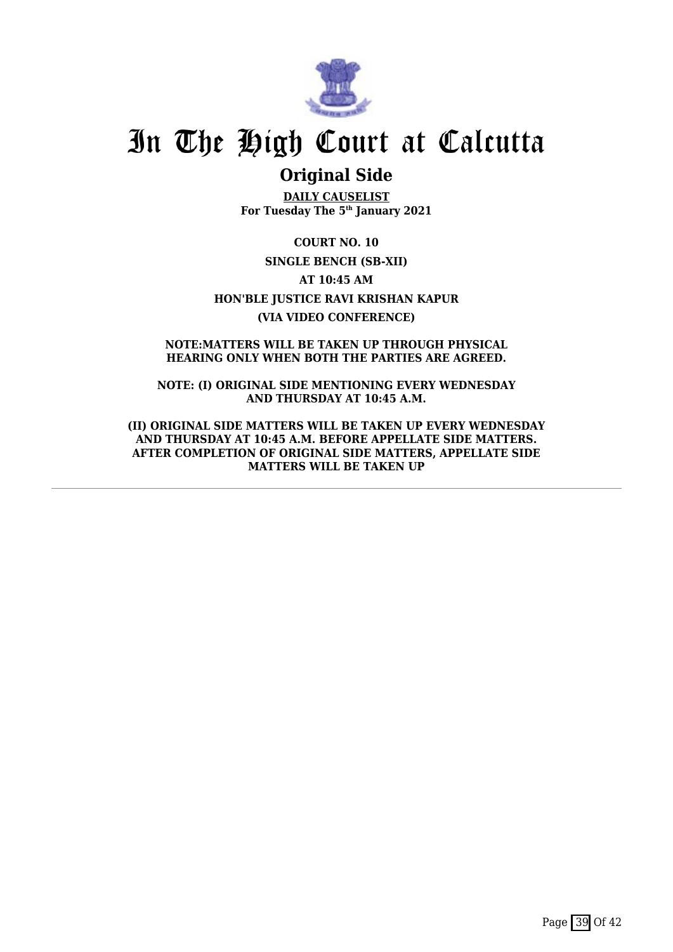

## **Original Side**

**DAILY CAUSELIST For Tuesday The 5th January 2021**

**COURT NO. 10 SINGLE BENCH (SB-XII) AT 10:45 AM HON'BLE JUSTICE RAVI KRISHAN KAPUR (VIA VIDEO CONFERENCE)**

**NOTE:MATTERS WILL BE TAKEN UP THROUGH PHYSICAL HEARING ONLY WHEN BOTH THE PARTIES ARE AGREED.**

**NOTE: (I) ORIGINAL SIDE MENTIONING EVERY WEDNESDAY AND THURSDAY AT 10:45 A.M.**

**(II) ORIGINAL SIDE MATTERS WILL BE TAKEN UP EVERY WEDNESDAY AND THURSDAY AT 10:45 A.M. BEFORE APPELLATE SIDE MATTERS. AFTER COMPLETION OF ORIGINAL SIDE MATTERS, APPELLATE SIDE MATTERS WILL BE TAKEN UP**

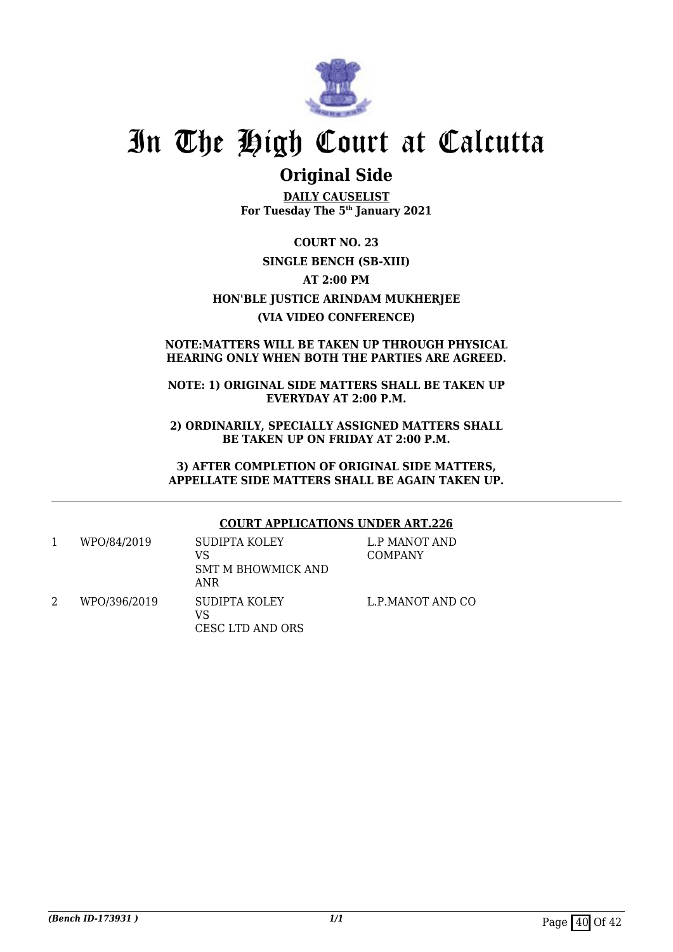

## **Original Side**

**DAILY CAUSELIST For Tuesday The 5th January 2021**

**COURT NO. 23 SINGLE BENCH (SB-XIII) AT 2:00 PM HON'BLE JUSTICE ARINDAM MUKHERJEE (VIA VIDEO CONFERENCE)**

### **NOTE:MATTERS WILL BE TAKEN UP THROUGH PHYSICAL HEARING ONLY WHEN BOTH THE PARTIES ARE AGREED.**

### **NOTE: 1) ORIGINAL SIDE MATTERS SHALL BE TAKEN UP EVERYDAY AT 2:00 P.M.**

**2) ORDINARILY, SPECIALLY ASSIGNED MATTERS SHALL BE TAKEN UP ON FRIDAY AT 2:00 P.M.**

**3) AFTER COMPLETION OF ORIGINAL SIDE MATTERS, APPELLATE SIDE MATTERS SHALL BE AGAIN TAKEN UP.**

## **COURT APPLICATIONS UNDER ART.226**

1 WPO/84/2019 SUDIPTA KOLEY VS SMT M BHOWMICK AND ANR L.P MANOT AND COMPANY 2 WPO/396/2019 SUDIPTA KOLEY VS CESC LTD AND ORS L.P.MANOT AND CO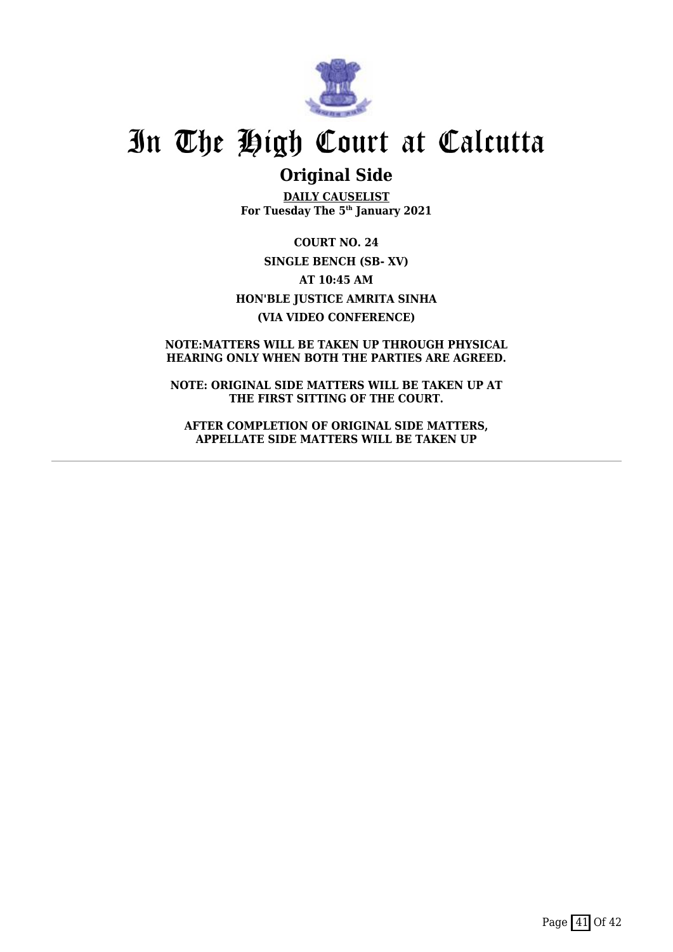

## **Original Side**

**DAILY CAUSELIST For Tuesday The 5th January 2021**

**COURT NO. 24 SINGLE BENCH (SB- XV) AT 10:45 AM HON'BLE JUSTICE AMRITA SINHA (VIA VIDEO CONFERENCE)**

### **NOTE:MATTERS WILL BE TAKEN UP THROUGH PHYSICAL HEARING ONLY WHEN BOTH THE PARTIES ARE AGREED.**

**NOTE: ORIGINAL SIDE MATTERS WILL BE TAKEN UP AT THE FIRST SITTING OF THE COURT.**

**AFTER COMPLETION OF ORIGINAL SIDE MATTERS, APPELLATE SIDE MATTERS WILL BE TAKEN UP**